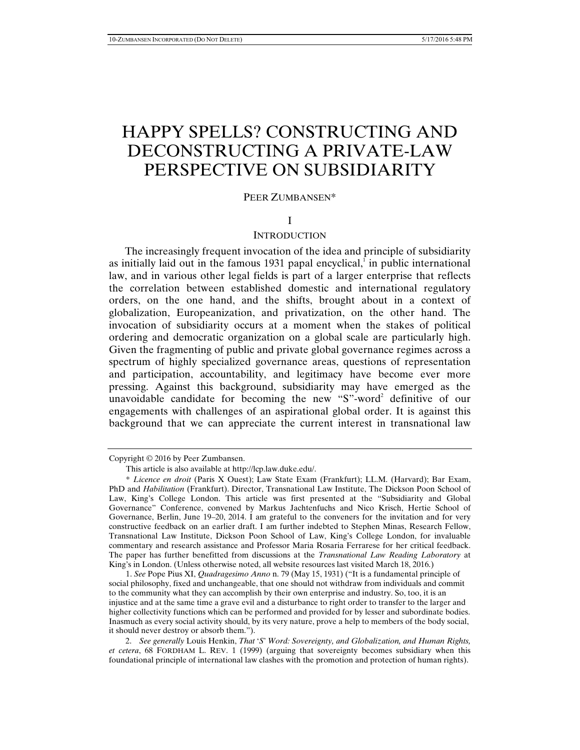# HAPPY SPELLS? CONSTRUCTING AND DECONSTRUCTING A PRIVATE-LAW PERSPECTIVE ON SUBSIDIARITY

## PEER ZUMBANSEN\*

## I

## **INTRODUCTION**

The increasingly frequent invocation of the idea and principle of subsidiarity as initially laid out in the famous  $1931$  papal encyclical,<sup>1</sup> in public international law, and in various other legal fields is part of a larger enterprise that reflects the correlation between established domestic and international regulatory orders, on the one hand, and the shifts, brought about in a context of globalization, Europeanization, and privatization, on the other hand. The invocation of subsidiarity occurs at a moment when the stakes of political ordering and democratic organization on a global scale are particularly high. Given the fragmenting of public and private global governance regimes across a spectrum of highly specialized governance areas, questions of representation and participation, accountability, and legitimacy have become ever more pressing. Against this background, subsidiarity may have emerged as the unavoidable candidate for becoming the new "S"-word<sup>2</sup> definitive of our engagements with challenges of an aspirational global order. It is against this background that we can appreciate the current interest in transnational law

 2. *See generally* Louis Henkin, *That* '*S*' *Word: Sovereignty, and Globalization, and Human Rights, et cetera*, 68 FORDHAM L. REV. 1 (1999) (arguing that sovereignty becomes subsidiary when this foundational principle of international law clashes with the promotion and protection of human rights).

Copyright © 2016 by Peer Zumbansen.

This article is also available at http://lcp.law.duke.edu/.

<sup>\*</sup> *Licence en droit* (Paris X Ouest); Law State Exam (Frankfurt); LL.M. (Harvard); Bar Exam, PhD and *Habilitation* (Frankfurt). Director, Transnational Law Institute, The Dickson Poon School of Law, King's College London. This article was first presented at the "Subsidiarity and Global Governance" Conference, convened by Markus Jachtenfuchs and Nico Krisch, Hertie School of Governance, Berlin, June 19–20, 2014. I am grateful to the conveners for the invitation and for very constructive feedback on an earlier draft. I am further indebted to Stephen Minas, Research Fellow, Transnational Law Institute, Dickson Poon School of Law, King's College London, for invaluable commentary and research assistance and Professor Maria Rosaria Ferrarese for her critical feedback. The paper has further benefitted from discussions at the *Transnational Law Reading Laboratory* at King's in London. (Unless otherwise noted, all website resources last visited March 18, 2016.)

<sup>1.</sup> *See* Pope Pius XI, *Quadragesimo Anno* n. 79 (May 15, 1931) ("It is a fundamental principle of social philosophy, fixed and unchangeable, that one should not withdraw from individuals and commit to the community what they can accomplish by their own enterprise and industry. So, too, it is an injustice and at the same time a grave evil and a disturbance to right order to transfer to the larger and higher collectivity functions which can be performed and provided for by lesser and subordinate bodies. Inasmuch as every social activity should, by its very nature, prove a help to members of the body social, it should never destroy or absorb them.").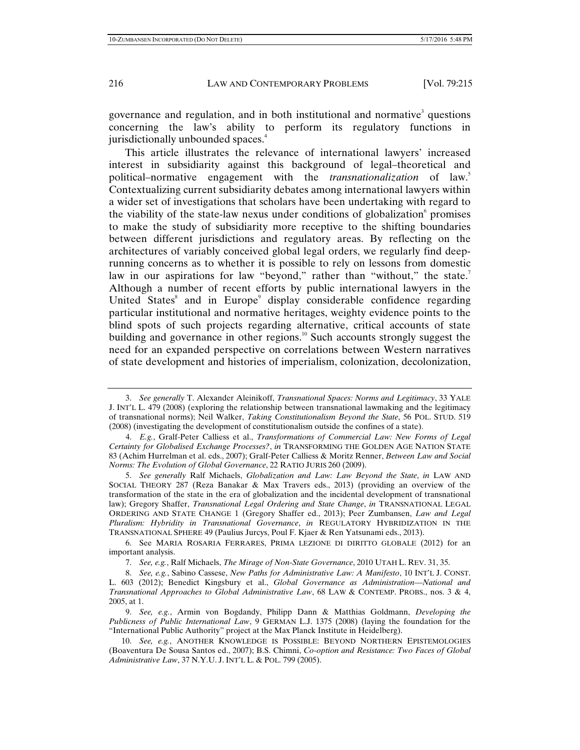governance and regulation, and in both institutional and normative<sup>3</sup> questions concerning the law's ability to perform its regulatory functions in jurisdictionally unbounded spaces.<sup>4</sup>

This article illustrates the relevance of international lawyers' increased interest in subsidiarity against this background of legal–theoretical and political–normative engagement with the *transnationalization* of law.<sup>5</sup> Contextualizing current subsidiarity debates among international lawyers within a wider set of investigations that scholars have been undertaking with regard to the viability of the state-law nexus under conditions of globalization promises to make the study of subsidiarity more receptive to the shifting boundaries between different jurisdictions and regulatory areas. By reflecting on the architectures of variably conceived global legal orders, we regularly find deeprunning concerns as to whether it is possible to rely on lessons from domestic law in our aspirations for law "beyond," rather than "without," the state.<sup>7</sup> Although a number of recent efforts by public international lawyers in the United States<sup>8</sup> and in Europe<sup>9</sup> display considerable confidence regarding particular institutional and normative heritages, weighty evidence points to the blind spots of such projects regarding alternative, critical accounts of state building and governance in other regions.<sup>10</sup> Such accounts strongly suggest the need for an expanded perspective on correlations between Western narratives of state development and histories of imperialism, colonization, decolonization,

 <sup>3.</sup> *See generally* T. Alexander Aleinikoff, *Transnational Spaces: Norms and Legitimacy*, 33 YALE J. INT'L L. 479 (2008) (exploring the relationship between transnational lawmaking and the legitimacy of transnational norms); Neil Walker, *Taking Constitutionalism Beyond the State*, 56 POL. STUD. 519 (2008) (investigating the development of constitutionalism outside the confines of a state).

 <sup>4.</sup> *E.g.*, Gralf-Peter Calliess et al., *Transformations of Commercial Law: New Forms of Legal Certainty for Globalised Exchange Processes?*, *in* TRANSFORMING THE GOLDEN AGE NATION STATE 83 (Achim Hurrelman et al. eds., 2007); Gralf-Peter Calliess & Moritz Renner, *Between Law and Social Norms: The Evolution of Global Governance*, 22 RATIO JURIS 260 (2009).

 <sup>5.</sup> *See generally* Ralf Michaels, *Globalization and Law: Law Beyond the State*, *in* LAW AND SOCIAL THEORY 287 (Reza Banakar & Max Travers eds., 2013) (providing an overview of the transformation of the state in the era of globalization and the incidental development of transnational law); Gregory Shaffer, *Transnational Legal Ordering and State Change*, *in* TRANSNATIONAL LEGAL ORDERING AND STATE CHANGE 1 (Gregory Shaffer ed., 2013); Peer Zumbansen, *Law and Legal Pluralism: Hybridity in Transnational Governance*, *in* REGULATORY HYBRIDIZATION IN THE TRANSNATIONAL SPHERE 49 (Paulius Jurcys, Poul F. Kjaer & Ren Yatsunami eds., 2013).

 <sup>6.</sup> See MARIA ROSARIA FERRARES, PRIMA LEZIONE DI DIRITTO GLOBALE (2012) for an important analysis.

 <sup>7.</sup> *See, e.g.*, Ralf Michaels, *The Mirage of Non-State Governance*, 2010 UTAH L. REV. 31, 35.

 <sup>8.</sup> *See, e.g.*, Sabino Cassese, *New Paths for Administrative Law: A Manifesto*, 10 INT'L J. CONST. L. 603 (2012); Benedict Kingsbury et al., *Global Governance as Administration*—*National and Transnational Approaches to Global Administrative Law*, 68 LAW & CONTEMP. PROBS., nos. 3 & 4, 2005, at 1.

 <sup>9.</sup> *See, e.g.*, Armin von Bogdandy, Philipp Dann & Matthias Goldmann, *Developing the Publicness of Public International Law*, 9 GERMAN L.J. 1375 (2008) (laying the foundation for the "International Public Authority" project at the Max Planck Institute in Heidelberg).

 <sup>10.</sup> *See, e.g.*, ANOTHER KNOWLEDGE IS POSSIBLE: BEYOND NORTHERN EPISTEMOLOGIES (Boaventura De Sousa Santos ed., 2007); B.S. Chimni, *Co-option and Resistance: Two Faces of Global Administrative Law*, 37 N.Y.U. J. INT'L L. & POL. 799 (2005).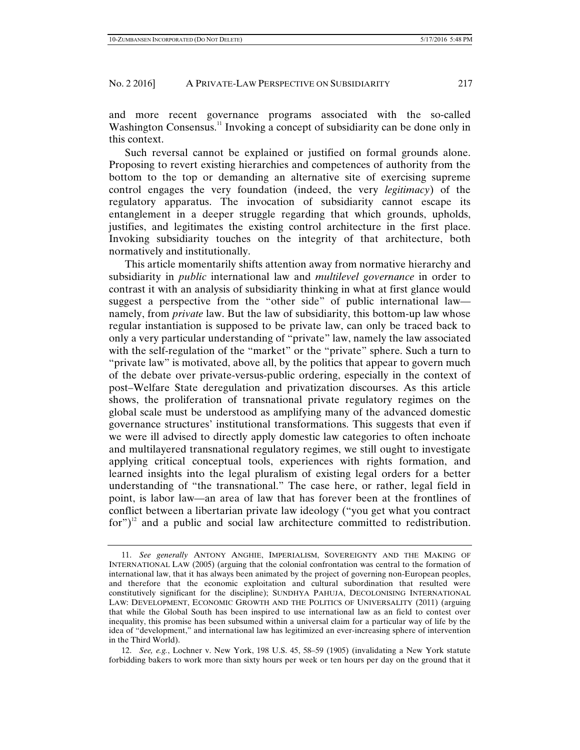and more recent governance programs associated with the so-called Washington Consensus.<sup>11</sup> Invoking a concept of subsidiarity can be done only in this context.

Such reversal cannot be explained or justified on formal grounds alone. Proposing to revert existing hierarchies and competences of authority from the bottom to the top or demanding an alternative site of exercising supreme control engages the very foundation (indeed, the very *legitimacy*) of the regulatory apparatus. The invocation of subsidiarity cannot escape its entanglement in a deeper struggle regarding that which grounds, upholds, justifies, and legitimates the existing control architecture in the first place. Invoking subsidiarity touches on the integrity of that architecture, both normatively and institutionally.

This article momentarily shifts attention away from normative hierarchy and subsidiarity in *public* international law and *multilevel governance* in order to contrast it with an analysis of subsidiarity thinking in what at first glance would suggest a perspective from the "other side" of public international law namely, from *private* law. But the law of subsidiarity, this bottom-up law whose regular instantiation is supposed to be private law, can only be traced back to only a very particular understanding of "private" law, namely the law associated with the self-regulation of the "market" or the "private" sphere. Such a turn to "private law" is motivated, above all, by the politics that appear to govern much of the debate over private-versus-public ordering, especially in the context of post–Welfare State deregulation and privatization discourses. As this article shows, the proliferation of transnational private regulatory regimes on the global scale must be understood as amplifying many of the advanced domestic governance structures' institutional transformations. This suggests that even if we were ill advised to directly apply domestic law categories to often inchoate and multilayered transnational regulatory regimes, we still ought to investigate applying critical conceptual tools, experiences with rights formation, and learned insights into the legal pluralism of existing legal orders for a better understanding of "the transnational." The case here, or rather, legal field in point, is labor law—an area of law that has forever been at the frontlines of conflict between a libertarian private law ideology ("you get what you contract for") $12$  and a public and social law architecture committed to redistribution.

 <sup>11.</sup> *See generally* ANTONY ANGHIE, IMPERIALISM, SOVEREIGNTY AND THE MAKING OF INTERNATIONAL LAW (2005) (arguing that the colonial confrontation was central to the formation of international law, that it has always been animated by the project of governing non-European peoples, and therefore that the economic exploitation and cultural subordination that resulted were constitutively significant for the discipline); SUNDHYA PAHUJA, DECOLONISING INTERNATIONAL LAW: DEVELOPMENT, ECONOMIC GROWTH AND THE POLITICS OF UNIVERSALITY (2011) (arguing that while the Global South has been inspired to use international law as an field to contest over inequality, this promise has been subsumed within a universal claim for a particular way of life by the idea of "development," and international law has legitimized an ever-increasing sphere of intervention in the Third World).

 <sup>12.</sup> *See, e.g.*, Lochner v. New York, 198 U.S. 45, 58–59 (1905) (invalidating a New York statute forbidding bakers to work more than sixty hours per week or ten hours per day on the ground that it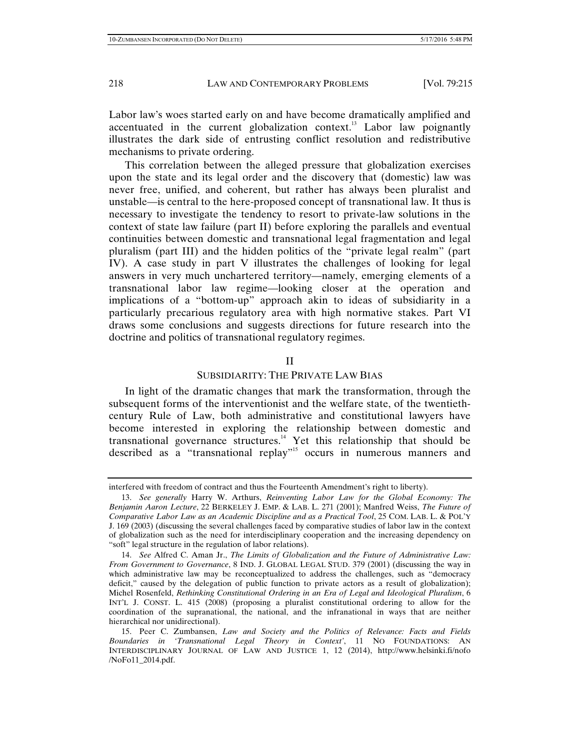Labor law's woes started early on and have become dramatically amplified and accentuated in the current globalization context.<sup>13</sup> Labor law poignantly illustrates the dark side of entrusting conflict resolution and redistributive mechanisms to private ordering.

This correlation between the alleged pressure that globalization exercises upon the state and its legal order and the discovery that (domestic) law was never free, unified, and coherent, but rather has always been pluralist and unstable—is central to the here-proposed concept of transnational law. It thus is necessary to investigate the tendency to resort to private-law solutions in the context of state law failure (part II) before exploring the parallels and eventual continuities between domestic and transnational legal fragmentation and legal pluralism (part III) and the hidden politics of the "private legal realm" (part IV). A case study in part V illustrates the challenges of looking for legal answers in very much unchartered territory—namely, emerging elements of a transnational labor law regime—looking closer at the operation and implications of a "bottom-up" approach akin to ideas of subsidiarity in a particularly precarious regulatory area with high normative stakes. Part VI draws some conclusions and suggests directions for future research into the doctrine and politics of transnational regulatory regimes.

## II

## SUBSIDIARITY: THE PRIVATE LAW BIAS

In light of the dramatic changes that mark the transformation, through the subsequent forms of the interventionist and the welfare state, of the twentiethcentury Rule of Law, both administrative and constitutional lawyers have become interested in exploring the relationship between domestic and transnational governance structures.<sup>14</sup> Yet this relationship that should be described as a "transnational replay"<sup>15</sup> occurs in numerous manners and

interfered with freedom of contract and thus the Fourteenth Amendment's right to liberty).

 <sup>13.</sup> *See generally* Harry W. Arthurs, *Reinventing Labor Law for the Global Economy: The Benjamin Aaron Lecture*, 22 BERKELEY J. EMP. & LAB. L. 271 (2001); Manfred Weiss, *The Future of Comparative Labor Law as an Academic Discipline and as a Practical Tool*, 25 COM. LAB. L. & POL'Y J. 169 (2003) (discussing the several challenges faced by comparative studies of labor law in the context of globalization such as the need for interdisciplinary cooperation and the increasing dependency on "soft" legal structure in the regulation of labor relations).

 <sup>14.</sup> *See* Alfred C. Aman Jr., *The Limits of Globalization and the Future of Administrative Law: From Government to Governance*, 8 IND. J. GLOBAL LEGAL STUD. 379 (2001) (discussing the way in which administrative law may be reconceptualized to address the challenges, such as "democracy deficit," caused by the delegation of public function to private actors as a result of globalization); Michel Rosenfeld, *Rethinking Constitutional Ordering in an Era of Legal and Ideological Pluralism*, 6 INT'L J. CONST. L. 415 (2008) (proposing a pluralist constitutional ordering to allow for the coordination of the supranational, the national, and the infranational in ways that are neither hierarchical nor unidirectional).

 <sup>15.</sup> Peer C. Zumbansen, *Law and Society and the Politics of Relevance: Facts and Fields Boundaries in 'Transnational Legal Theory in Context'*, 11 NO FOUNDATIONS: AN INTERDISCIPLINARY JOURNAL OF LAW AND JUSTICE 1, 12 (2014), http://www.helsinki.fi/nofo /NoFo11\_2014.pdf.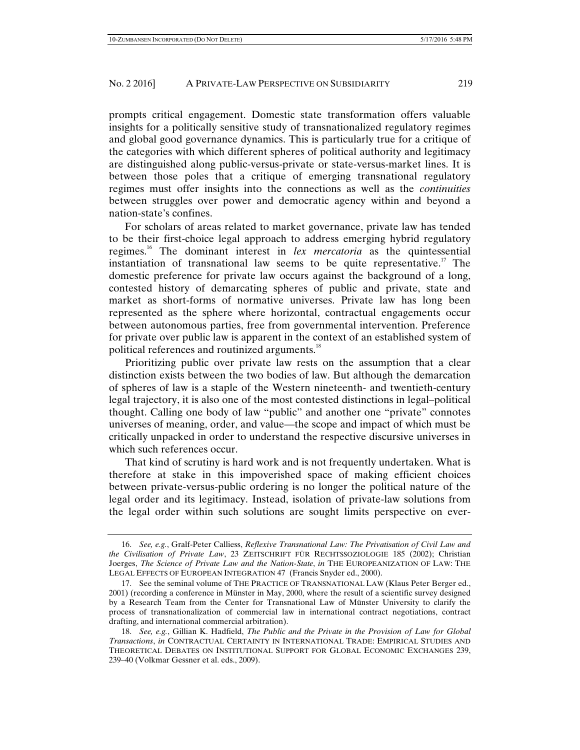prompts critical engagement. Domestic state transformation offers valuable insights for a politically sensitive study of transnationalized regulatory regimes and global good governance dynamics. This is particularly true for a critique of the categories with which different spheres of political authority and legitimacy are distinguished along public-versus-private or state-versus-market lines. It is between those poles that a critique of emerging transnational regulatory regimes must offer insights into the connections as well as the *continuities* between struggles over power and democratic agency within and beyond a nation-state's confines.

For scholars of areas related to market governance, private law has tended to be their first-choice legal approach to address emerging hybrid regulatory regimes.16 The dominant interest in *lex mercatoria* as the quintessential instantiation of transnational law seems to be quite representative.<sup>17</sup> The domestic preference for private law occurs against the background of a long, contested history of demarcating spheres of public and private, state and market as short-forms of normative universes. Private law has long been represented as the sphere where horizontal, contractual engagements occur between autonomous parties, free from governmental intervention. Preference for private over public law is apparent in the context of an established system of political references and routinized arguments.<sup>18</sup>

Prioritizing public over private law rests on the assumption that a clear distinction exists between the two bodies of law. But although the demarcation of spheres of law is a staple of the Western nineteenth- and twentieth-century legal trajectory, it is also one of the most contested distinctions in legal–political thought. Calling one body of law "public" and another one "private" connotes universes of meaning, order, and value—the scope and impact of which must be critically unpacked in order to understand the respective discursive universes in which such references occur.

That kind of scrutiny is hard work and is not frequently undertaken. What is therefore at stake in this impoverished space of making efficient choices between private-versus-public ordering is no longer the political nature of the legal order and its legitimacy. Instead, isolation of private-law solutions from the legal order within such solutions are sought limits perspective on ever-

 <sup>16.</sup> *See, e.g.*, Gralf-Peter Calliess, *Reflexive Transnational Law: The Privatisation of Civil Law and the Civilisation of Private Law*, 23 ZEITSCHRIFT FÜR RECHTSSOZIOLOGIE 185 (2002); Christian Joerges, *The Science of Private Law and the Nation-State*, *in* THE EUROPEANIZATION OF LAW: THE LEGAL EFFECTS OF EUROPEAN INTEGRATION 47 (Francis Snyder ed., 2000).

 <sup>17.</sup> See the seminal volume of THE PRACTICE OF TRANSNATIONAL LAW (Klaus Peter Berger ed., 2001) (recording a conference in Münster in May, 2000, where the result of a scientific survey designed by a Research Team from the Center for Transnational Law of Münster University to clarify the process of transnationalization of commercial law in international contract negotiations, contract drafting, and international commercial arbitration).

 <sup>18.</sup> *See, e.g.*, Gillian K. Hadfield, *The Public and the Private in the Provision of Law for Global Transactions*, *in* CONTRACTUAL CERTAINTY IN INTERNATIONAL TRADE: EMPIRICAL STUDIES AND THEORETICAL DEBATES ON INSTITUTIONAL SUPPORT FOR GLOBAL ECONOMIC EXCHANGES 239, 239–40 (Volkmar Gessner et al. eds., 2009).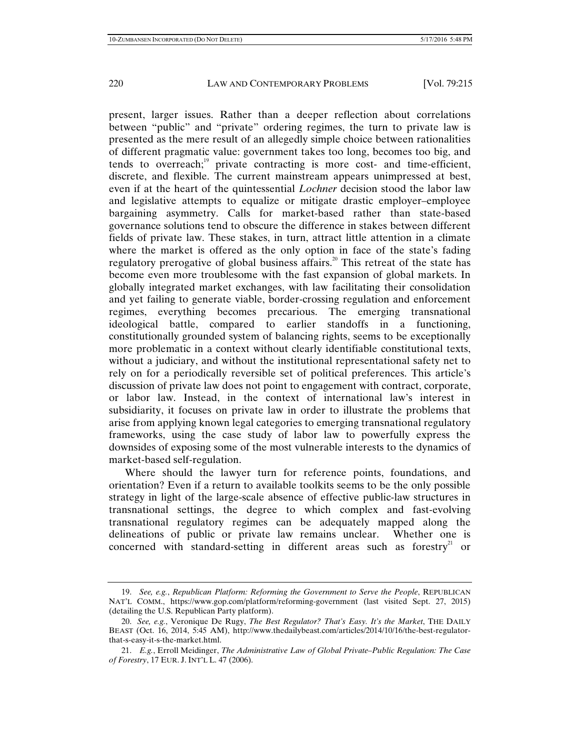present, larger issues. Rather than a deeper reflection about correlations between "public" and "private" ordering regimes, the turn to private law is presented as the mere result of an allegedly simple choice between rationalities of different pragmatic value: government takes too long, becomes too big, and tends to overreach; $\frac{19}{12}$  private contracting is more cost- and time-efficient, discrete, and flexible. The current mainstream appears unimpressed at best, even if at the heart of the quintessential *Lochner* decision stood the labor law and legislative attempts to equalize or mitigate drastic employer–employee bargaining asymmetry. Calls for market-based rather than state-based governance solutions tend to obscure the difference in stakes between different fields of private law. These stakes, in turn, attract little attention in a climate where the market is offered as the only option in face of the state's fading regulatory prerogative of global business affairs.<sup>20</sup> This retreat of the state has become even more troublesome with the fast expansion of global markets. In globally integrated market exchanges, with law facilitating their consolidation and yet failing to generate viable, border-crossing regulation and enforcement regimes, everything becomes precarious. The emerging transnational ideological battle, compared to earlier standoffs in a functioning, constitutionally grounded system of balancing rights, seems to be exceptionally more problematic in a context without clearly identifiable constitutional texts, without a judiciary, and without the institutional representational safety net to rely on for a periodically reversible set of political preferences. This article's discussion of private law does not point to engagement with contract, corporate, or labor law. Instead, in the context of international law's interest in subsidiarity, it focuses on private law in order to illustrate the problems that arise from applying known legal categories to emerging transnational regulatory frameworks, using the case study of labor law to powerfully express the downsides of exposing some of the most vulnerable interests to the dynamics of market-based self-regulation.

Where should the lawyer turn for reference points, foundations, and orientation? Even if a return to available toolkits seems to be the only possible strategy in light of the large-scale absence of effective public-law structures in transnational settings, the degree to which complex and fast-evolving transnational regulatory regimes can be adequately mapped along the delineations of public or private law remains unclear. Whether one is concerned with standard-setting in different areas such as forestry<sup>21</sup> or

 <sup>19.</sup> *See, e.g.*, *Republican Platform: Reforming the Government to Serve the People*, REPUBLICAN NAT'L COMM., https://www.gop.com/platform/reforming-government (last visited Sept. 27, 2015) (detailing the U.S. Republican Party platform).

 <sup>20.</sup> *See, e.g.*, Veronique De Rugy, *The Best Regulator? That's Easy. It's the Market*, THE DAILY BEAST (Oct. 16, 2014, 5:45 AM), http://www.thedailybeast.com/articles/2014/10/16/the-best-regulatorthat-s-easy-it-s-the-market.html.

 <sup>21.</sup> *E.g.*, Erroll Meidinger, *The Administrative Law of Global Private–Public Regulation: The Case of Forestry*, 17 EUR. J. INT'L L. 47 (2006).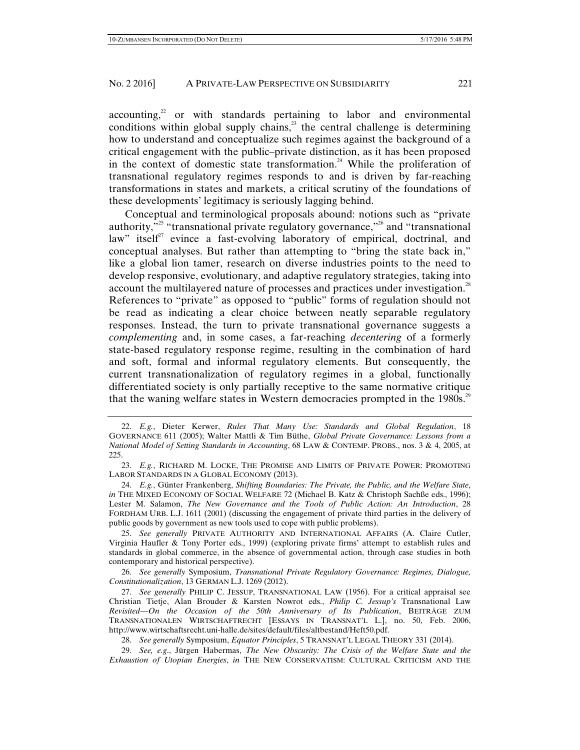$\arccos$  accounting,<sup>22</sup> or with standards pertaining to labor and environmental conditions within global supply chains, $2<sup>3</sup>$  the central challenge is determining how to understand and conceptualize such regimes against the background of a critical engagement with the public–private distinction, as it has been proposed in the context of domestic state transformation.<sup>24</sup> While the proliferation of transnational regulatory regimes responds to and is driven by far-reaching transformations in states and markets, a critical scrutiny of the foundations of these developments' legitimacy is seriously lagging behind.

Conceptual and terminological proposals abound: notions such as "private authority, $\frac{1}{2}$  "transnational private regulatory governance,"<sup>26</sup> and "transnational" law" itself<sup>27</sup> evince a fast-evolving laboratory of empirical, doctrinal, and conceptual analyses. But rather than attempting to "bring the state back in," like a global lion tamer, research on diverse industries points to the need to develop responsive, evolutionary, and adaptive regulatory strategies, taking into account the multilayered nature of processes and practices under investigation.<sup>28</sup> References to "private" as opposed to "public" forms of regulation should not be read as indicating a clear choice between neatly separable regulatory responses. Instead, the turn to private transnational governance suggests a *complementing* and, in some cases, a far-reaching *decentering* of a formerly state-based regulatory response regime, resulting in the combination of hard and soft, formal and informal regulatory elements. But consequently, the current transnationalization of regulatory regimes in a global, functionally differentiated society is only partially receptive to the same normative critique that the waning welfare states in Western democracies prompted in the 1980s.<sup>29</sup>

 <sup>22.</sup> *E.g.*, Dieter Kerwer, *Rules That Many Use: Standards and Global Regulation*, 18 GOVERNANCE 611 (2005); Walter Mattli & Tim Büthe, *Global Private Governance: Lessons from a National Model of Setting Standards in Accounting*, 68 LAW & CONTEMP. PROBS., nos. 3 & 4, 2005, at 225.

 <sup>23.</sup> *E.g.*, RICHARD M. LOCKE, THE PROMISE AND LIMITS OF PRIVATE POWER: PROMOTING LABOR STANDARDS IN A GLOBAL ECONOMY (2013).

 <sup>24.</sup> *E.g.*, Günter Frankenberg, *Shifting Boundaries: The Private, the Public, and the Welfare State*, *in* THE MIXED ECONOMY OF SOCIAL WELFARE 72 (Michael B. Katz & Christoph Sachße eds., 1996); Lester M. Salamon, *The New Governance and the Tools of Public Action: An Introduction*, 28 FORDHAM URB. L.J. 1611 (2001) (discussing the engagement of private third parties in the delivery of public goods by government as new tools used to cope with public problems).

 <sup>25.</sup> *See generally* PRIVATE AUTHORITY AND INTERNATIONAL AFFAIRS (A. Claire Cutler, Virginia Haufler & Tony Porter eds., 1999) (exploring private firms' attempt to establish rules and standards in global commerce, in the absence of governmental action, through case studies in both contemporary and historical perspective).

 <sup>26.</sup> *See generally* Symposium, *Transnational Private Regulatory Governance: Regimes, Dialogue, Constitutionalization*, 13 GERMAN L.J. 1269 (2012).

 <sup>27.</sup> *See generally* PHILIP C. JESSUP, TRANSNATIONAL LAW (1956). For a critical appraisal see Christian Tietje, Alan Brouder & Karsten Nowrot eds., *Philip C. Jessup's* Transnational Law *Revisited*—*On the Occasion of the 50th Anniversary of Its Publication*, BEITRÄGE ZUM TRANSNATIONALEN WIRTSCHAFTRECHT [ESSAYS IN TRANSNAT'L L.], no. 50, Feb. 2006, http://www.wirtschaftsrecht.uni-halle.de/sites/default/files/altbestand/Heft50.pdf.

 <sup>28.</sup> *See generally* Symposium, *Equator Principles*, 5 TRANSNAT'L LEGAL THEORY 331 (2014).

 <sup>29.</sup> *See, e.g*., Jürgen Habermas, *The New Obscurity: The Crisis of the Welfare State and the Exhaustion of Utopian Energies*, *in* THE NEW CONSERVATISM: CULTURAL CRITICISM AND THE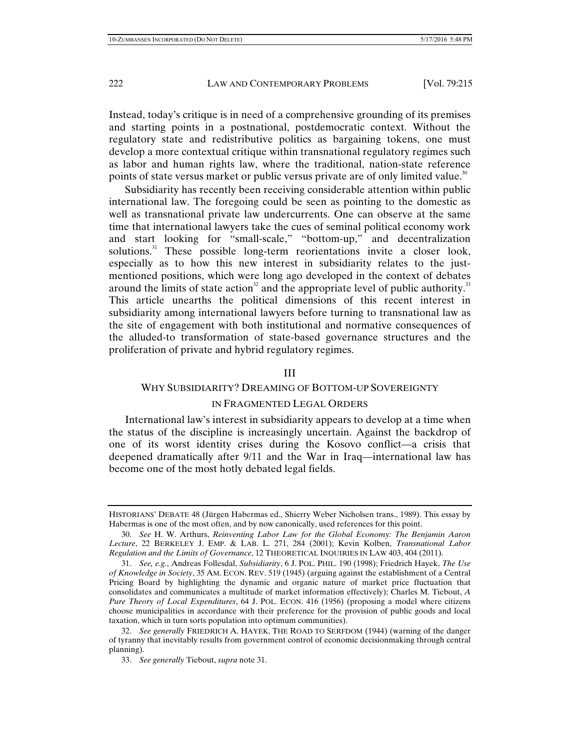Instead, today's critique is in need of a comprehensive grounding of its premises and starting points in a postnational, postdemocratic context. Without the regulatory state and redistributive politics as bargaining tokens, one must develop a more contextual critique within transnational regulatory regimes such as labor and human rights law, where the traditional, nation-state reference points of state versus market or public versus private are of only limited value.<sup>30</sup>

Subsidiarity has recently been receiving considerable attention within public international law. The foregoing could be seen as pointing to the domestic as well as transnational private law undercurrents. One can observe at the same time that international lawyers take the cues of seminal political economy work and start looking for "small-scale," "bottom-up," and decentralization solutions.<sup>31</sup> These possible long-term reorientations invite a closer look, especially as to how this new interest in subsidiarity relates to the justmentioned positions, which were long ago developed in the context of debates around the limits of state action<sup>32</sup> and the appropriate level of public authority.<sup>33</sup> This article unearths the political dimensions of this recent interest in subsidiarity among international lawyers before turning to transnational law as the site of engagement with both institutional and normative consequences of the alluded-to transformation of state-based governance structures and the proliferation of private and hybrid regulatory regimes.

#### III

# WHY SUBSIDIARITY? DREAMING OF BOTTOM-UP SOVEREIGNTY

## IN FRAGMENTED LEGAL ORDERS

International law's interest in subsidiarity appears to develop at a time when the status of the discipline is increasingly uncertain. Against the backdrop of one of its worst identity crises during the Kosovo conflict—a crisis that deepened dramatically after 9/11 and the War in Iraq—international law has become one of the most hotly debated legal fields.

HISTORIANS' DEBATE 48 (Jürgen Habermas ed., Shierry Weber Nicholsen trans., 1989). This essay by Habermas is one of the most often, and by now canonically, used references for this point.

 <sup>30.</sup> *See* H. W. Arthurs, *Reinventing Labor Law for the Global Economy: The Benjamin Aaron Lecture*, 22 BERKELEY J. EMP. & LAB. L. 271, 284 (2001); Kevin Kolben, *Transnational Labor Regulation and the Limits of Governance*, 12 THEORETICAL INQUIRIES IN LAW 403, 404 (2011).

 <sup>31.</sup> *See, e.g.*, Andreas Follesdal, *Subsidiarity*, 6 J. POL. PHIL. 190 (1998); Friedrich Hayek, *The Use of Knowledge in Society*, 35 AM. ECON. REV. 519 (1945) (arguing against the establishment of a Central Pricing Board by highlighting the dynamic and organic nature of market price fluctuation that consolidates and communicates a multitude of market information effectively); Charles M. Tiebout, *A Pure Theory of Local Expenditures*, 64 J. POL. ECON. 416 (1956) (proposing a model where citizens choose municipalities in accordance with their preference for the provision of public goods and local taxation, which in turn sorts population into optimum communities).

 <sup>32.</sup> *See generally* FRIEDRICH A. HAYEK, THE ROAD TO SERFDOM (1944) (warning of the danger of tyranny that inevitably results from government control of economic decisionmaking through central planning).

 <sup>33.</sup> *See generally* Tiebout, *supra* note 31.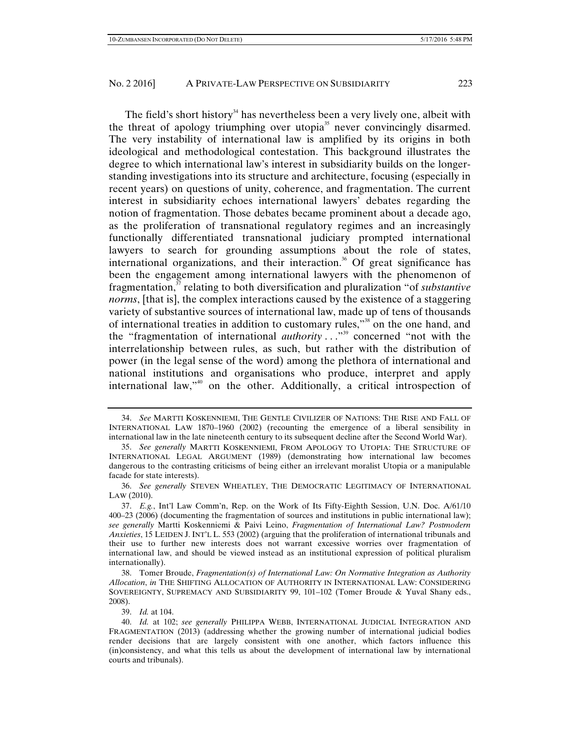The field's short history<sup>34</sup> has nevertheless been a very lively one, albeit with the threat of apology triumphing over utopia<sup>35</sup> never convincingly disarmed. The very instability of international law is amplified by its origins in both ideological and methodological contestation. This background illustrates the degree to which international law's interest in subsidiarity builds on the longerstanding investigations into its structure and architecture, focusing (especially in recent years) on questions of unity, coherence, and fragmentation. The current interest in subsidiarity echoes international lawyers' debates regarding the notion of fragmentation. Those debates became prominent about a decade ago, as the proliferation of transnational regulatory regimes and an increasingly functionally differentiated transnational judiciary prompted international lawyers to search for grounding assumptions about the role of states, international organizations, and their interaction.<sup>36</sup> Of great significance has

been the engagement among international lawyers with the phenomenon of fragmentation,37 relating to both diversification and pluralization "of *substantive norms*, [that is], the complex interactions caused by the existence of a staggering variety of substantive sources of international law, made up of tens of thousands of international treaties in addition to customary rules,"<sup>38</sup> on the one hand, and the "fragmentation of international *authority* . . .<sup>339</sup> concerned "not with the interrelationship between rules, as such, but rather with the distribution of power (in the legal sense of the word) among the plethora of international and national institutions and organisations who produce, interpret and apply international law,"40 on the other. Additionally, a critical introspection of

 36. *See generally* STEVEN WHEATLEY, THE DEMOCRATIC LEGITIMACY OF INTERNATIONAL LAW (2010).

 <sup>34.</sup> *See* MARTTI KOSKENNIEMI, THE GENTLE CIVILIZER OF NATIONS: THE RISE AND FALL OF INTERNATIONAL LAW 1870–1960 (2002) (recounting the emergence of a liberal sensibility in international law in the late nineteenth century to its subsequent decline after the Second World War).

 <sup>35.</sup> *See generally* MARTTI KOSKENNIEMI, FROM APOLOGY TO UTOPIA: THE STRUCTURE OF INTERNATIONAL LEGAL ARGUMENT (1989) (demonstrating how international law becomes dangerous to the contrasting criticisms of being either an irrelevant moralist Utopia or a manipulable facade for state interests).

 <sup>37.</sup> *E.g.*, Int'l Law Comm'n, Rep. on the Work of Its Fifty-Eighth Session, U.N. Doc. A/61/10 400–23 (2006) (documenting the fragmentation of sources and institutions in public international law); *see generally* Martti Koskenniemi & Paivi Leino, *Fragmentation of International Law? Postmodern Anxieties*, 15 LEIDEN J. INT'L L. 553 (2002) (arguing that the proliferation of international tribunals and their use to further new interests does not warrant excessive worries over fragmentation of international law, and should be viewed instead as an institutional expression of political pluralism internationally).

 <sup>38.</sup> Tomer Broude, *Fragmentation(s) of International Law: On Normative Integration as Authority Allocation*, *in* THE SHIFTING ALLOCATION OF AUTHORITY IN INTERNATIONAL LAW: CONSIDERING SOVEREIGNTY, SUPREMACY AND SUBSIDIARITY 99, 101–102 (Tomer Broude & Yuval Shany eds., 2008).

 <sup>39.</sup> *Id.* at 104.

 <sup>40.</sup> *Id.* at 102; *see generally* PHILIPPA WEBB, INTERNATIONAL JUDICIAL INTEGRATION AND FRAGMENTATION (2013) (addressing whether the growing number of international judicial bodies render decisions that are largely consistent with one another, which factors influence this (in)consistency, and what this tells us about the development of international law by international courts and tribunals).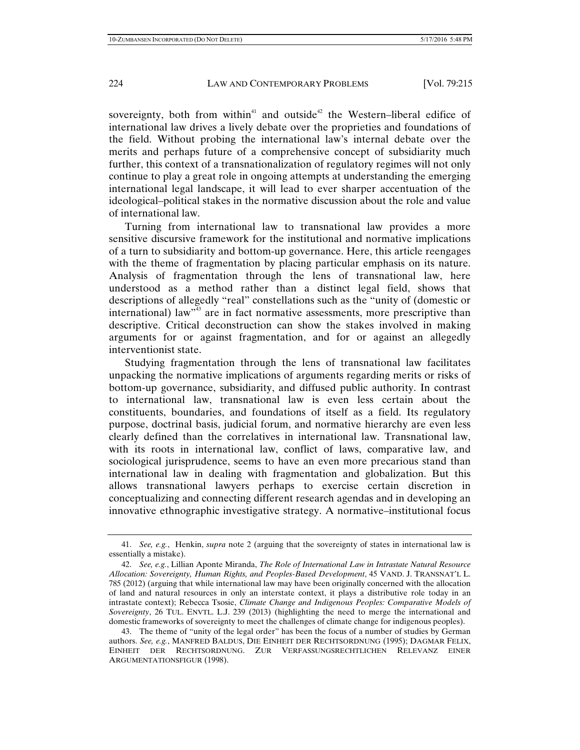sovereignty, both from within<sup>41</sup> and outside<sup>42</sup> the Western–liberal edifice of international law drives a lively debate over the proprieties and foundations of the field. Without probing the international law's internal debate over the merits and perhaps future of a comprehensive concept of subsidiarity much further, this context of a transnationalization of regulatory regimes will not only continue to play a great role in ongoing attempts at understanding the emerging international legal landscape, it will lead to ever sharper accentuation of the ideological–political stakes in the normative discussion about the role and value of international law.

Turning from international law to transnational law provides a more sensitive discursive framework for the institutional and normative implications of a turn to subsidiarity and bottom-up governance. Here, this article reengages with the theme of fragmentation by placing particular emphasis on its nature. Analysis of fragmentation through the lens of transnational law, here understood as a method rather than a distinct legal field, shows that descriptions of allegedly "real" constellations such as the "unity of (domestic or international) law<sup> $m<sup>33</sup>$ </sup> are in fact normative assessments, more prescriptive than descriptive. Critical deconstruction can show the stakes involved in making arguments for or against fragmentation, and for or against an allegedly interventionist state.

Studying fragmentation through the lens of transnational law facilitates unpacking the normative implications of arguments regarding merits or risks of bottom-up governance, subsidiarity, and diffused public authority. In contrast to international law, transnational law is even less certain about the constituents, boundaries, and foundations of itself as a field. Its regulatory purpose, doctrinal basis, judicial forum, and normative hierarchy are even less clearly defined than the correlatives in international law. Transnational law, with its roots in international law, conflict of laws, comparative law, and sociological jurisprudence, seems to have an even more precarious stand than international law in dealing with fragmentation and globalization. But this allows transnational lawyers perhaps to exercise certain discretion in conceptualizing and connecting different research agendas and in developing an innovative ethnographic investigative strategy. A normative–institutional focus

 <sup>41.</sup> *See, e.g.*, Henkin, *supra* note 2 (arguing that the sovereignty of states in international law is essentially a mistake).

 <sup>42.</sup> *See, e.g.*, Lillian Aponte Miranda, *The Role of International Law in Intrastate Natural Resource Allocation: Sovereignty, Human Rights, and Peoples-Based Development*, 45 VAND. J. TRANSNAT'L L. 785 (2012) (arguing that while international law may have been originally concerned with the allocation of land and natural resources in only an interstate context, it plays a distributive role today in an intrastate context); Rebecca Tsosie, *Climate Change and Indigenous Peoples: Comparative Models of Sovereignty*, 26 TUL. ENVTL. L.J. 239 (2013) (highlighting the need to merge the international and domestic frameworks of sovereignty to meet the challenges of climate change for indigenous peoples).

 <sup>43.</sup> The theme of "unity of the legal order" has been the focus of a number of studies by German authors. *See, e.g.*, MANFRED BALDUS, DIE EINHEIT DER RECHTSORDNUNG (1995); DAGMAR FELIX, EINHEIT DER RECHTSORDNUNG. ZUR VERFASSUNGSRECHTLICHEN RELEVANZ EINER ARGUMENTATIONSFIGUR (1998).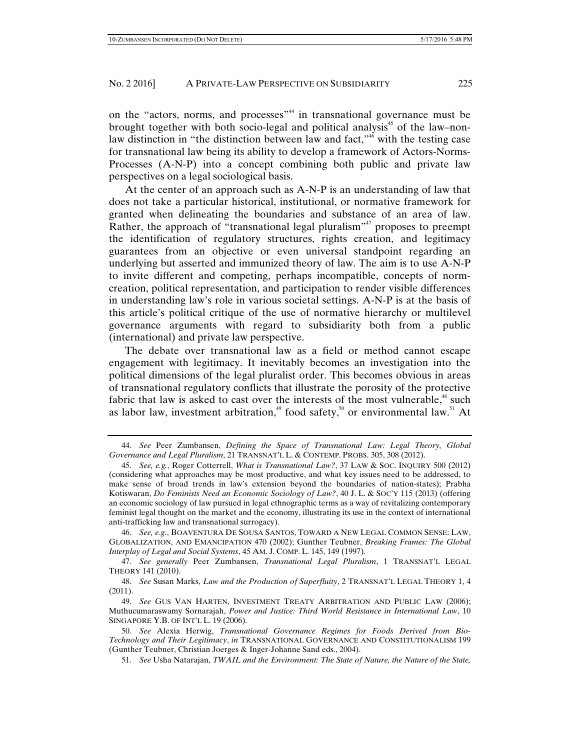on the "actors, norms, and processes"<sup>44</sup> in transnational governance must be brought together with both socio-legal and political analysis<sup>45</sup> of the law–nonlaw distinction in "the distinction between law and fact," $\phi$ " with the testing case for transnational law being its ability to develop a framework of Actors-Norms-Processes (A-N-P) into a concept combining both public and private law perspectives on a legal sociological basis.

At the center of an approach such as A-N-P is an understanding of law that does not take a particular historical, institutional, or normative framework for granted when delineating the boundaries and substance of an area of law. Rather, the approach of "transnational legal pluralism"<sup>47</sup> proposes to preempt the identification of regulatory structures, rights creation, and legitimacy guarantees from an objective or even universal standpoint regarding an underlying but asserted and immunized theory of law. The aim is to use A-N-P to invite different and competing, perhaps incompatible, concepts of normcreation, political representation, and participation to render visible differences in understanding law's role in various societal settings. A-N-P is at the basis of this article's political critique of the use of normative hierarchy or multilevel governance arguments with regard to subsidiarity both from a public (international) and private law perspective.

The debate over transnational law as a field or method cannot escape engagement with legitimacy. It inevitably becomes an investigation into the political dimensions of the legal pluralist order. This becomes obvious in areas of transnational regulatory conflicts that illustrate the porosity of the protective fabric that law is asked to cast over the interests of the most vulnerable, $48$  such as labor law, investment arbitration,<sup>49</sup> food safety,<sup>50</sup> or environmental law.<sup>51</sup> At

 46. *See, e.g.*, BOAVENTURA DE SOUSA SANTOS, TOWARD A NEW LEGAL COMMON SENSE: LAW, GLOBALIZATION, AND EMANCIPATION 470 (2002); Gunther Teubner, *Breaking Frames: The Global Interplay of Legal and Social Systems*, 45 AM. J. COMP. L. 145, 149 (1997).

 47. *See generally* Peer Zumbansen, *Transnational Legal Pluralism*, 1 TRANSNAT'L LEGAL THEORY 141 (2010).

 48. *See* Susan Marks, *Law and the Production of Superfluity*, 2 TRANSNAT'L LEGAL THEORY 1, 4 (2011).

 <sup>44.</sup> *See* Peer Zumbansen, *Defining the Space of Transnational Law: Legal Theory, Global Governance and Legal Pluralism*, 21 TRANSNAT'L L. & CONTEMP. PROBS. 305, 308 (2012).

 <sup>45.</sup> *See, e.g.*, Roger Cotterrell, *What is Transnational Law?*, 37 LAW & SOC. INQUIRY 500 (2012) (considering what approaches may be most productive, and what key issues need to be addressed, to make sense of broad trends in law's extension beyond the boundaries of nation-states); Prabha Kotiswaran, *Do Feminists Need an Economic Sociology of Law?*, 40 J. L. & SOC'Y 115 (2013) (offering an economic sociology of law pursued in legal ethnographic terms as a way of revitalizing contemporary feminist legal thought on the market and the economy, illustrating its use in the context of international anti-trafficking law and transnational surrogacy).

 <sup>49.</sup> *See* GUS VAN HARTEN, INVESTMENT TREATY ARBITRATION AND PUBLIC LAW (2006); Muthucumaraswamy Sornarajah, *Power and Justice: Third World Resistance in International Law*, 10 SINGAPORE Y.B. OF INT'L L. 19 (2006).

 <sup>50.</sup> *See* Alexia Herwig, *Transnational Governance Regimes for Foods Derived from Bio-Technology and Their Legitimacy*, *in* TRANSNATIONAL GOVERNANCE AND CONSTITUTIONALISM 199 (Gunther Teubner, Christian Joerges & Inger-Johanne Sand eds., 2004).

 <sup>51.</sup> *See* Usha Natarajan, *TWAIL and the Environment: The State of Nature, the Nature of the State,*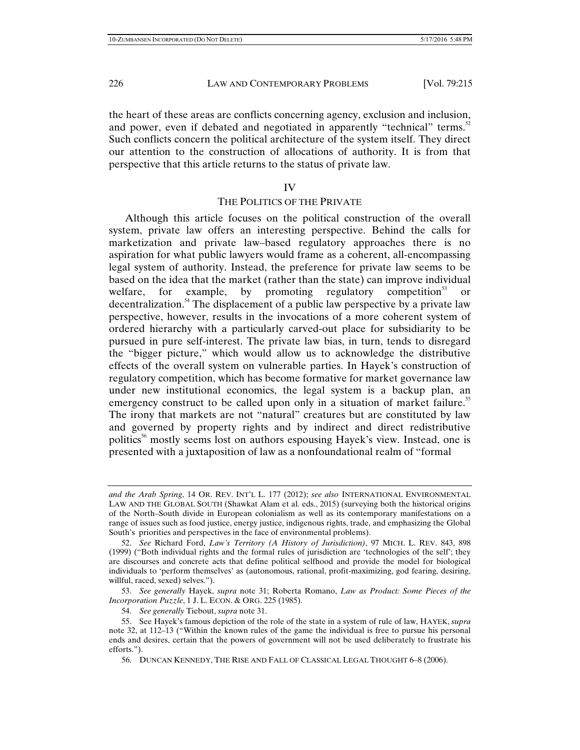the heart of these areas are conflicts concerning agency, exclusion and inclusion, and power, even if debated and negotiated in apparently "technical" terms.<sup>52</sup> Such conflicts concern the political architecture of the system itself. They direct our attention to the construction of allocations of authority. It is from that perspective that this article returns to the status of private law.

#### IV

## THE POLITICS OF THE PRIVATE

Although this article focuses on the political construction of the overall system, private law offers an interesting perspective. Behind the calls for marketization and private law–based regulatory approaches there is no aspiration for what public lawyers would frame as a coherent, all-encompassing legal system of authority. Instead, the preference for private law seems to be based on the idea that the market (rather than the state) can improve individual welfare, for example, by promoting regulatory competition<sup>53</sup> or decentralization.<sup>54</sup> The displacement of a public law perspective by a private law perspective, however, results in the invocations of a more coherent system of ordered hierarchy with a particularly carved-out place for subsidiarity to be pursued in pure self-interest. The private law bias, in turn, tends to disregard the "bigger picture," which would allow us to acknowledge the distributive effects of the overall system on vulnerable parties. In Hayek's construction of regulatory competition, which has become formative for market governance law under new institutional economics, the legal system is a backup plan, an emergency construct to be called upon only in a situation of market failure.<sup>55</sup> The irony that markets are not "natural" creatures but are constituted by law and governed by property rights and by indirect and direct redistributive politics<sup>56</sup> mostly seems lost on authors espousing Hayek's view. Instead, one is presented with a juxtaposition of law as a nonfoundational realm of "formal

*and the Arab Spring*, 14 OR. REV. INT'L L. 177 (2012); *see also* INTERNATIONAL ENVIRONMENTAL LAW AND THE GLOBAL SOUTH (Shawkat Alam et al. eds., 2015) (surveying both the historical origins of the North–South divide in European colonialism as well as its contemporary manifestations on a range of issues such as food justice, energy justice, indigenous rights, trade, and emphasizing the Global South's priorities and perspectives in the face of environmental problems).

 <sup>52.</sup> *See* Richard Ford, *Law's Territory (A History of Jurisdiction)*, 97 MICH. L. REV. 843, 898 (1999) ("Both individual rights and the formal rules of jurisdiction are 'technologies of the self'; they are discourses and concrete acts that define political selfhood and provide the model for biological individuals to 'perform themselves' as (autonomous, rational, profit-maximizing, god fearing, desiring, willful, raced, sexed) selves.").

 <sup>53.</sup> *See generally* Hayek, *supra* note 31; Roberta Romano, *Law as Product: Some Pieces of the Incorporation Puzzle*, 1 J. L. ECON. & ORG. 225 (1985).

 <sup>54.</sup> *See generally* Tiebout, *supra* note 31.

 <sup>55.</sup> See Hayek's famous depiction of the role of the state in a system of rule of law, HAYEK, *supra* note 32, at 112–13 ("Within the known rules of the game the individual is free to pursue his personal ends and desires, certain that the powers of government will not be used deliberately to frustrate his efforts.").

 <sup>56.</sup> DUNCAN KENNEDY, THE RISE AND FALL OF CLASSICAL LEGAL THOUGHT 6–8 (2006).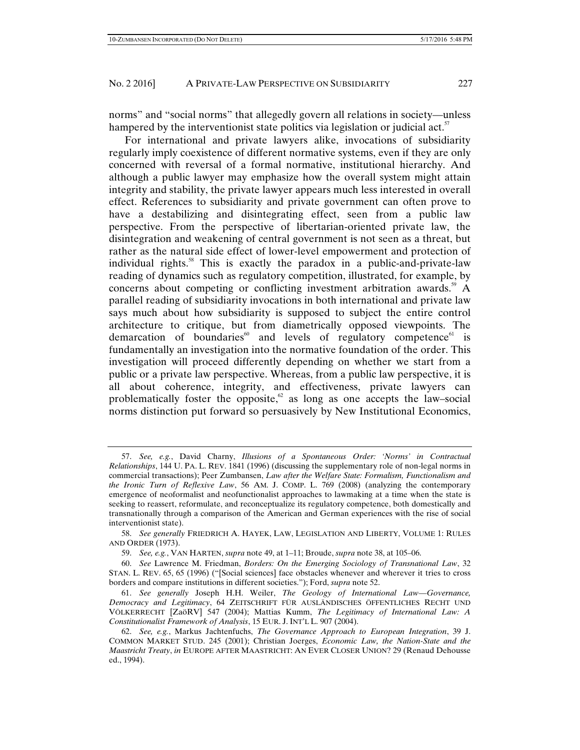norms" and "social norms" that allegedly govern all relations in society—unless hampered by the interventionist state politics via legislation or judicial act. $57$ 

For international and private lawyers alike, invocations of subsidiarity regularly imply coexistence of different normative systems, even if they are only concerned with reversal of a formal normative, institutional hierarchy. And although a public lawyer may emphasize how the overall system might attain integrity and stability, the private lawyer appears much less interested in overall effect. References to subsidiarity and private government can often prove to have a destabilizing and disintegrating effect, seen from a public law perspective. From the perspective of libertarian-oriented private law, the disintegration and weakening of central government is not seen as a threat, but rather as the natural side effect of lower-level empowerment and protection of individual rights.<sup>58</sup> This is exactly the paradox in a public-and-private-law reading of dynamics such as regulatory competition, illustrated, for example, by concerns about competing or conflicting investment arbitration awards.<sup>59</sup> A parallel reading of subsidiarity invocations in both international and private law says much about how subsidiarity is supposed to subject the entire control architecture to critique, but from diametrically opposed viewpoints. The demarcation of boundaries and levels of regulatory competence is fundamentally an investigation into the normative foundation of the order. This investigation will proceed differently depending on whether we start from a public or a private law perspective. Whereas, from a public law perspective, it is all about coherence, integrity, and effectiveness, private lawyers can problematically foster the opposite, $62$  as long as one accepts the law–social norms distinction put forward so persuasively by New Institutional Economics,

 <sup>57.</sup> *See, e.g.*, David Charny, *Illusions of a Spontaneous Order: 'Norms' in Contractual Relationships*, 144 U. PA. L. REV. 1841 (1996) (discussing the supplementary role of non-legal norms in commercial transactions); Peer Zumbansen, *Law after the Welfare State: Formalism, Functionalism and the Ironic Turn of Reflexive Law*, 56 AM. J. COMP. L. 769 (2008) (analyzing the contemporary emergence of neoformalist and neofunctionalist approaches to lawmaking at a time when the state is seeking to reassert, reformulate, and reconceptualize its regulatory competence, both domestically and transnationally through a comparison of the American and German experiences with the rise of social interventionist state).

 <sup>58.</sup> *See generally* FRIEDRICH A. HAYEK, LAW, LEGISLATION AND LIBERTY, VOLUME 1: RULES AND ORDER (1973).

 <sup>59.</sup> *See, e.g.*, VAN HARTEN, *supra* note 49, at 1–11; Broude, *supra* note 38, at 105–06.

 <sup>60.</sup> *See* Lawrence M. Friedman, *Borders: On the Emerging Sociology of Transnational Law*, 32 STAN. L. REV. 65, 65 (1996) ("[Social sciences] face obstacles whenever and wherever it tries to cross borders and compare institutions in different societies."); Ford, *supra* note 52.

 <sup>61.</sup> *See generally* Joseph H.H. Weiler, *The Geology of International Law*—*Governance, Democracy and Legitimacy*, 64 ZEITSCHRIFT FÜR AUSLÄNDISCHES ÖFFENTLICHES RECHT UND VÖLKERRECHT [ZaöRV] 547 (2004); Mattias Kumm, *The Legitimacy of International Law: A Constitutionalist Framework of Analysis*, 15 EUR. J. INT'L L. 907 (2004).

 <sup>62.</sup> *See, e.g.*, Markus Jachtenfuchs, *The Governance Approach to European Integration*, 39 J. COMMON MARKET STUD. 245 (2001); Christian Joerges, *Economic Law, the Nation-State and the Maastricht Treaty*, *in* EUROPE AFTER MAASTRICHT: AN EVER CLOSER UNION? 29 (Renaud Dehousse ed., 1994).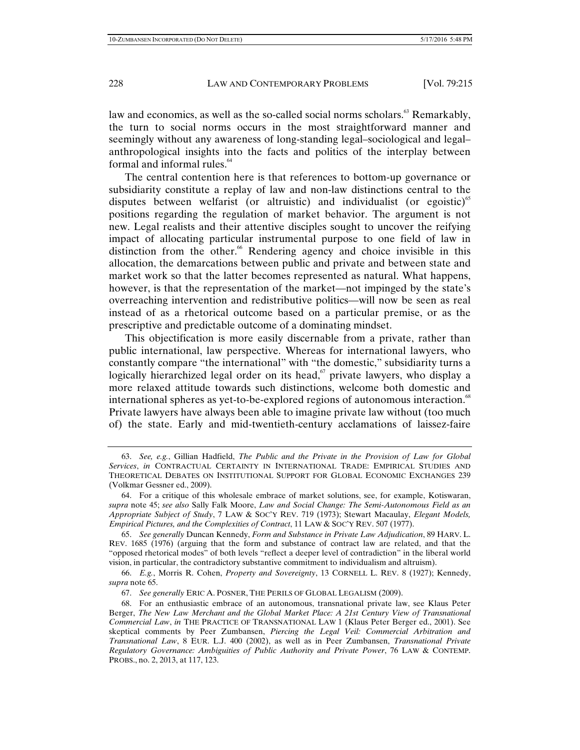law and economics, as well as the so-called social norms scholars.<sup>63</sup> Remarkably, the turn to social norms occurs in the most straightforward manner and seemingly without any awareness of long-standing legal–sociological and legal– anthropological insights into the facts and politics of the interplay between formal and informal rules.<sup>64</sup>

The central contention here is that references to bottom-up governance or subsidiarity constitute a replay of law and non-law distinctions central to the disputes between welfarist (or altruistic) and individualist (or egoistic)<sup>65</sup> positions regarding the regulation of market behavior. The argument is not new. Legal realists and their attentive disciples sought to uncover the reifying impact of allocating particular instrumental purpose to one field of law in distinction from the other.<sup>66</sup> Rendering agency and choice invisible in this allocation, the demarcations between public and private and between state and market work so that the latter becomes represented as natural. What happens, however, is that the representation of the market—not impinged by the state's overreaching intervention and redistributive politics—will now be seen as real instead of as a rhetorical outcome based on a particular premise, or as the prescriptive and predictable outcome of a dominating mindset.

This objectification is more easily discernable from a private, rather than public international, law perspective. Whereas for international lawyers, who constantly compare "the international" with "the domestic," subsidiarity turns a logically hierarchized legal order on its head, $67$  private lawyers, who display a more relaxed attitude towards such distinctions, welcome both domestic and international spheres as yet-to-be-explored regions of autonomous interaction.<sup>68</sup> Private lawyers have always been able to imagine private law without (too much of) the state. Early and mid-twentieth-century acclamations of laissez-faire

 <sup>63.</sup> *See, e.g.*, Gillian Hadfield, *The Public and the Private in the Provision of Law for Global Services*, *in* CONTRACTUAL CERTAINTY IN INTERNATIONAL TRADE: EMPIRICAL STUDIES AND THEORETICAL DEBATES ON INSTITUTIONAL SUPPORT FOR GLOBAL ECONOMIC EXCHANGES 239 (Volkmar Gessner ed., 2009).

 <sup>64.</sup> For a critique of this wholesale embrace of market solutions, see, for example, Kotiswaran, *supra* note 45; *see also* Sally Falk Moore, *Law and Social Change: The Semi-Autonomous Field as an Appropriate Subject of Study*, 7 LAW & SOC'Y REV. 719 (1973); Stewart Macaulay, *Elegant Models, Empirical Pictures, and the Complexities of Contract*, 11 LAW & SOC'Y REV. 507 (1977).

 <sup>65.</sup> *See generally* Duncan Kennedy, *Form and Substance in Private Law Adjudication*, 89 HARV. L. REV. 1685 (1976) (arguing that the form and substance of contract law are related, and that the "opposed rhetorical modes" of both levels "reflect a deeper level of contradiction" in the liberal world vision, in particular, the contradictory substantive commitment to individualism and altruism).

 <sup>66.</sup> *E.g.*, Morris R. Cohen, *Property and Sovereignty*, 13 CORNELL L. REV. 8 (1927); Kennedy, *supra* note 65.

 <sup>67.</sup> *See generally* ERIC A. POSNER, THE PERILS OF GLOBAL LEGALISM (2009).

 <sup>68.</sup> For an enthusiastic embrace of an autonomous, transnational private law, see Klaus Peter Berger, *The New Law Merchant and the Global Market Place: A 21st Century View of Transnational Commercial Law*, *in* THE PRACTICE OF TRANSNATIONAL LAW 1 (Klaus Peter Berger ed., 2001). See skeptical comments by Peer Zumbansen, *Piercing the Legal Veil: Commercial Arbitration and Transnational Law*, 8 EUR. L.J. 400 (2002), as well as in Peer Zumbansen, *Transnational Private Regulatory Governance: Ambiguities of Public Authority and Private Power*, 76 LAW & CONTEMP. PROBS., no. 2, 2013, at 117, 123.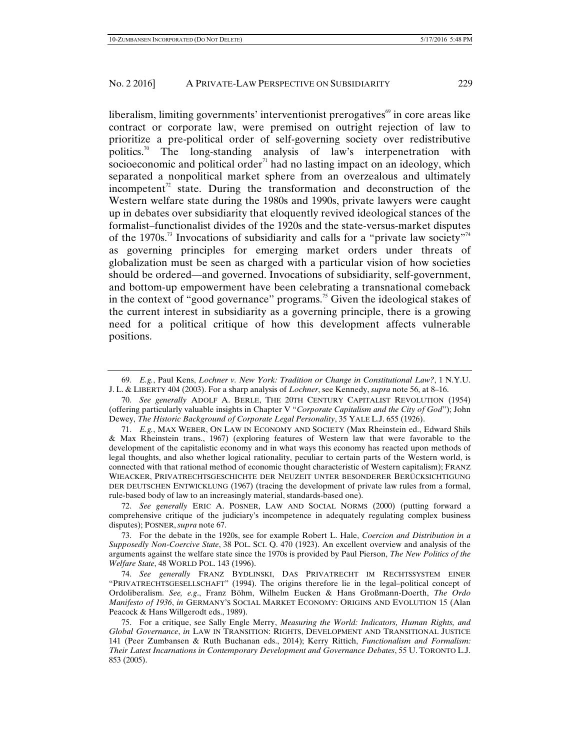liberalism, limiting governments' interventionist prerogatives $\mathscr{C}$  in core areas like contract or corporate law, were premised on outright rejection of law to prioritize a pre-political order of self-governing society over redistributive politics.<sup>70</sup> The long-standing analysis of law's interpenetration with socioeconomic and political order<sup> $71$ </sup> had no lasting impact on an ideology, which separated a nonpolitical market sphere from an overzealous and ultimately incompetent<sup> $n$ </sup> state. During the transformation and deconstruction of the Western welfare state during the 1980s and 1990s, private lawyers were caught up in debates over subsidiarity that eloquently revived ideological stances of the formalist–functionalist divides of the 1920s and the state-versus-market disputes of the 1970s.<sup>73</sup> Invocations of subsidiarity and calls for a "private law society"<sup>74</sup> as governing principles for emerging market orders under threats of globalization must be seen as charged with a particular vision of how societies should be ordered—and governed. Invocations of subsidiarity, self-government, and bottom-up empowerment have been celebrating a transnational comeback in the context of "good governance" programs.<sup>75</sup> Given the ideological stakes of the current interest in subsidiarity as a governing principle, there is a growing need for a political critique of how this development affects vulnerable positions.

 72. *See generally* ERIC A. POSNER, LAW AND SOCIAL NORMS (2000) (putting forward a comprehensive critique of the judiciary's incompetence in adequately regulating complex business disputes); POSNER, *supra* note 67.

 73. For the debate in the 1920s, see for example Robert L. Hale, *Coercion and Distribution in a Supposedly Non-Coercive State*, 38 POL. SCI. Q. 470 (1923). An excellent overview and analysis of the arguments against the welfare state since the 1970s is provided by Paul Pierson, *The New Politics of the Welfare State*, 48 WORLD POL. 143 (1996).

 74. *See generally* FRANZ BYDLINSKI, DAS PRIVATRECHT IM RECHTSSYSTEM EINER "PRIVATRECHTSGESELLSCHAFT" (1994). The origins therefore lie in the legal–political concept of Ordoliberalism. *See, e.g*., Franz Böhm, Wilhelm Eucken & Hans Großmann-Doerth, *The Ordo Manifesto of 1936*, *in* GERMANY'S SOCIAL MARKET ECONOMY: ORIGINS AND EVOLUTION 15 (Alan Peacock & Hans Willgerodt eds., 1989).

 75. For a critique, see Sally Engle Merry, *Measuring the World: Indicators, Human Rights, and Global Governance*, *in* LAW IN TRANSITION: RIGHTS, DEVELOPMENT AND TRANSITIONAL JUSTICE 141 (Peer Zumbansen & Ruth Buchanan eds., 2014); Kerry Rittich, *Functionalism and Formalism: Their Latest Incarnations in Contemporary Development and Governance Debates*, 55 U. TORONTO L.J. 853 (2005).

 <sup>69.</sup> *E.g.*, Paul Kens, *Lochner v. New York: Tradition or Change in Constitutional Law?*, 1 N.Y.U. J. L. & LIBERTY 404 (2003). For a sharp analysis of *Lochner*, see Kennedy, *supra* note 56, at 8–16.

 <sup>70.</sup> *See generally* ADOLF A. BERLE, THE 20TH CENTURY CAPITALIST REVOLUTION (1954) (offering particularly valuable insights in Chapter V "*Corporate Capitalism and the City of God*"); John Dewey, *The Historic Background of Corporate Legal Personality*, 35 YALE L.J. 655 (1926).

 <sup>71.</sup> *E.g.*, MAX WEBER, ON LAW IN ECONOMY AND SOCIETY (Max Rheinstein ed., Edward Shils & Max Rheinstein trans., 1967) (exploring features of Western law that were favorable to the development of the capitalistic economy and in what ways this economy has reacted upon methods of legal thoughts, and also whether logical rationality, peculiar to certain parts of the Western world, is connected with that rational method of economic thought characteristic of Western capitalism); FRANZ WIEACKER, PRIVATRECHTSGESCHICHTE DER NEUZEIT UNTER BESONDERER BERÜCKSICHTIGUNG DER DEUTSCHEN ENTWICKLUNG (1967) (tracing the development of private law rules from a formal, rule-based body of law to an increasingly material, standards-based one).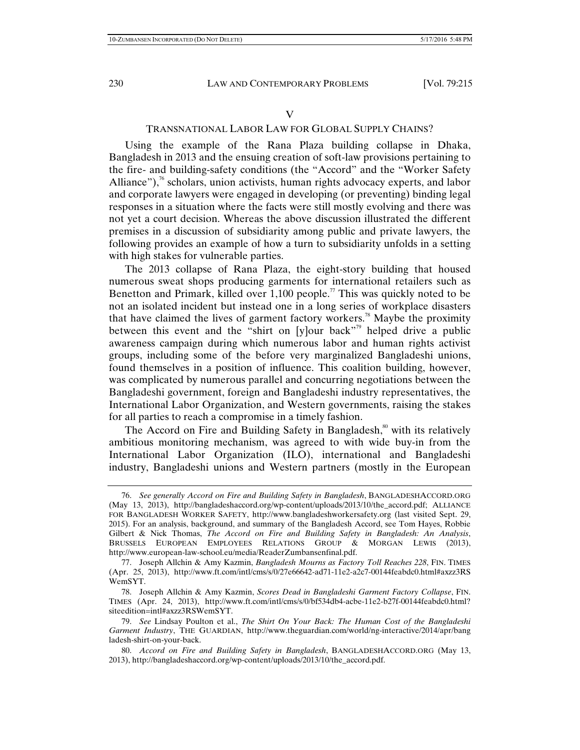#### V

## TRANSNATIONAL LABOR LAW FOR GLOBAL SUPPLY CHAINS?

Using the example of the Rana Plaza building collapse in Dhaka, Bangladesh in 2013 and the ensuing creation of soft-law provisions pertaining to the fire- and building-safety conditions (the "Accord" and the "Worker Safety Alliance"),<sup>76</sup> scholars, union activists, human rights advocacy experts, and labor and corporate lawyers were engaged in developing (or preventing) binding legal responses in a situation where the facts were still mostly evolving and there was not yet a court decision. Whereas the above discussion illustrated the different premises in a discussion of subsidiarity among public and private lawyers, the following provides an example of how a turn to subsidiarity unfolds in a setting with high stakes for vulnerable parties.

The 2013 collapse of Rana Plaza, the eight-story building that housed numerous sweat shops producing garments for international retailers such as Benetton and Primark, killed over  $1,100$  people.<sup>77</sup> This was quickly noted to be not an isolated incident but instead one in a long series of workplace disasters that have claimed the lives of garment factory workers.<sup>78</sup> Maybe the proximity between this event and the "shirt on [y]our back"<sup>79</sup> helped drive a public awareness campaign during which numerous labor and human rights activist groups, including some of the before very marginalized Bangladeshi unions, found themselves in a position of influence. This coalition building, however, was complicated by numerous parallel and concurring negotiations between the Bangladeshi government, foreign and Bangladeshi industry representatives, the International Labor Organization, and Western governments, raising the stakes for all parties to reach a compromise in a timely fashion.

The Accord on Fire and Building Safety in Bangladesh,<sup>80</sup> with its relatively ambitious monitoring mechanism, was agreed to with wide buy-in from the International Labor Organization (ILO), international and Bangladeshi industry, Bangladeshi unions and Western partners (mostly in the European

 <sup>76.</sup> *See generally Accord on Fire and Building Safety in Bangladesh*, BANGLADESHACCORD.ORG (May 13, 2013), http://bangladeshaccord.org/wp-content/uploads/2013/10/the\_accord.pdf; ALLIANCE FOR BANGLADESH WORKER SAFETY, http://www.bangladeshworkersafety.org (last visited Sept. 29, 2015). For an analysis, background, and summary of the Bangladesh Accord, see Tom Hayes, Robbie Gilbert & Nick Thomas, *The Accord on Fire and Building Safety in Bangladesh: An Analysis*, BRUSSELS EUROPEAN EMPLOYEES RELATIONS GROUP & MORGAN LEWIS (2013), http://www.european-law-school.eu/media/ReaderZumbansenfinal.pdf.

 <sup>77.</sup> Joseph Allchin & Amy Kazmin, *Bangladesh Mourns as Factory Toll Reaches 228*, FIN. TIMES (Apr. 25, 2013), http://www.ft.com/intl/cms/s/0/27e66642-ad71-11e2-a2c7-00144feabdc0.html#axzz3RS WemSYT.

 <sup>78.</sup> Joseph Allchin & Amy Kazmin, *Scores Dead in Bangladeshi Garment Factory Collapse*, FIN. TIMES (Apr. 24, 2013), http://www.ft.com/intl/cms/s/0/bf534db4-acbe-11e2-b27f-00144feabdc0.html? siteedition=intl#axzz3RSWemSYT.

 <sup>79.</sup> *See* Lindsay Poulton et al., *The Shirt On Your Back: The Human Cost of the Bangladeshi Garment Industry*, THE GUARDIAN, http://www.theguardian.com/world/ng-interactive/2014/apr/bang ladesh-shirt-on-your-back.

 <sup>80.</sup> *Accord on Fire and Building Safety in Bangladesh*, BANGLADESHACCORD.ORG (May 13, 2013), http://bangladeshaccord.org/wp-content/uploads/2013/10/the\_accord.pdf.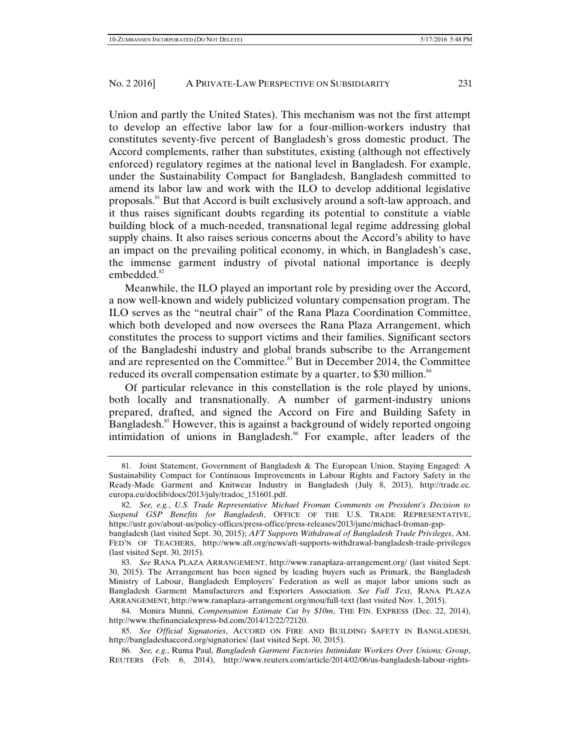Union and partly the United States). This mechanism was not the first attempt to develop an effective labor law for a four-million-workers industry that constitutes seventy-five percent of Bangladesh's gross domestic product. The Accord complements, rather than substitutes, existing (although not effectively enforced) regulatory regimes at the national level in Bangladesh. For example, under the Sustainability Compact for Bangladesh, Bangladesh committed to amend its labor law and work with the ILO to develop additional legislative proposals.81 But that Accord is built exclusively around a soft-law approach, and it thus raises significant doubts regarding its potential to constitute a viable building block of a much-needed, transnational legal regime addressing global supply chains. It also raises serious concerns about the Accord's ability to have an impact on the prevailing political economy, in which, in Bangladesh's case, the immense garment industry of pivotal national importance is deeply embedded.<sup>82</sup>

Meanwhile, the ILO played an important role by presiding over the Accord, a now well-known and widely publicized voluntary compensation program. The ILO serves as the "neutral chair" of the Rana Plaza Coordination Committee, which both developed and now oversees the Rana Plaza Arrangement, which constitutes the process to support victims and their families. Significant sectors of the Bangladeshi industry and global brands subscribe to the Arrangement and are represented on the Committee.<sup>83</sup> But in December 2014, the Committee reduced its overall compensation estimate by a quarter, to \$30 million.<sup>84</sup>

Of particular relevance in this constellation is the role played by unions, both locally and transnationally. A number of garment-industry unions prepared, drafted, and signed the Accord on Fire and Building Safety in Bangladesh.<sup>85</sup> However, this is against a background of widely reported ongoing intimidation of unions in Bangladesh.<sup>86</sup> For example, after leaders of the

 84. Monira Munni, *Compensation Estimate Cut by \$10m*, THE FIN. EXPRESS (Dec. 22, 2014), http://www.thefinancialexpress-bd.com/2014/12/22/72120.

 <sup>81.</sup> Joint Statement, Government of Bangladesh & The European Union, Staying Engaged: A Sustainability Compact for Continuous Improvements in Labour Rights and Factory Safety in the Ready-Made Garment and Knitwear Industry in Bangladesh (July 8, 2013), http://trade.ec. europa.eu/doclib/docs/2013/july/tradoc\_151601.pdf.

 <sup>82.</sup> *See, e.g.*, *U.S. Trade Representative Michael Froman Comments on President's Decision to Suspend GSP Benefits for Bangladesh*, OFFICE OF THE U.S. TRADE REPRESENTATIVE, https://ustr.gov/about-us/policy-offices/press-office/press-releases/2013/june/michael-froman-gspbangladesh (last visited Sept. 30, 2015); *AFT Supports Withdrawal of Bangladesh Trade Privileges*, AM. FED'N OF TEACHERS, http://www.aft.org/news/aft-supports-withdrawal-bangladesh-trade-privileges (last visited Sept. 30, 2015).

 <sup>83.</sup> *See* RANA PLAZA ARRANGEMENT, http://www.ranaplaza-arrangement.org/ (last visited Sept. 30, 2015). The Arrangement has been signed by leading buyers such as Primark, the Bangladesh Ministry of Labour, Bangladesh Employers' Federation as well as major labor unions such as Bangladesh Garment Manufacturers and Exporters Association. *See Full Text*, RANA PLAZA ARRANGEMENT, http://www.ranaplaza-arrangement.org/mou/full-text (last visited Nov. 1, 2015).

 <sup>85.</sup> *See Official Signatories*, ACCORD ON FIRE AND BUILDING SAFETY IN BANGLADESH, http://bangladeshaccord.org/signatories/ (last visited Sept. 30, 2015).

 <sup>86.</sup> *See, e.g.*, Ruma Paul, *Bangladesh Garment Factories Intimidate Workers Over Unions: Group*, REUTERS (Feb. 6, 2014), http://www.reuters.com/article/2014/02/06/us-bangladesh-labour-rights-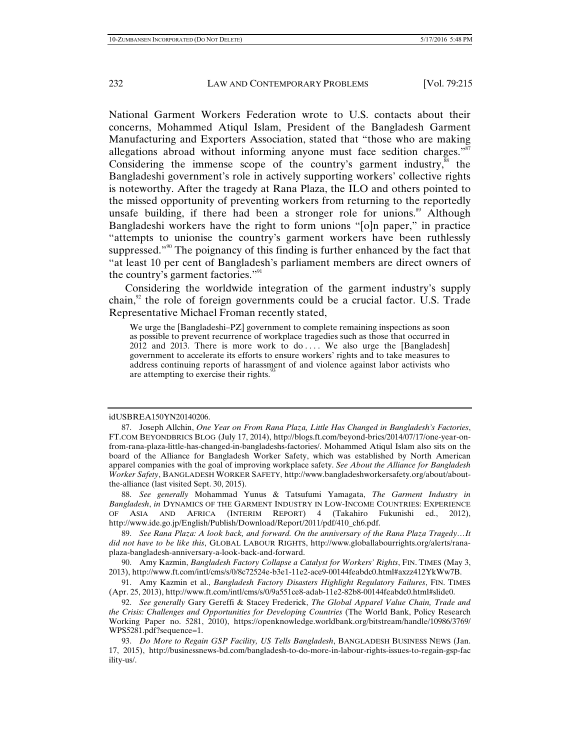National Garment Workers Federation wrote to U.S. contacts about their concerns, Mohammed Atiqul Islam, President of the Bangladesh Garment Manufacturing and Exporters Association, stated that "those who are making allegations abroad without informing anyone must face sedition charges." $\frac{3}{5}$ Considering the immense scope of the country's garment industry, $^{88}$  the Bangladeshi government's role in actively supporting workers' collective rights is noteworthy. After the tragedy at Rana Plaza, the ILO and others pointed to the missed opportunity of preventing workers from returning to the reportedly unsafe building, if there had been a stronger role for unions.<sup>89</sup> Although Bangladeshi workers have the right to form unions "[o]n paper," in practice "attempts to unionise the country's garment workers have been ruthlessly suppressed."<sup>90</sup> The poignancy of this finding is further enhanced by the fact that "at least 10 per cent of Bangladesh's parliament members are direct owners of the country's garment factories."<sup>91</sup>

Considering the worldwide integration of the garment industry's supply chain, $\frac{9}{2}$  the role of foreign governments could be a crucial factor. U.S. Trade Representative Michael Froman recently stated,

We urge the [Bangladeshi–PZ] government to complete remaining inspections as soon as possible to prevent recurrence of workplace tragedies such as those that occurred in  $2012$  and  $2013$ . There is more work to do .... We also urge the [Bangladesh] government to accelerate its efforts to ensure workers' rights and to take measures to address continuing reports of harassment of and violence against labor activists who are attempting to exercise their rights.<sup>3</sup>

#### idUSBREA150YN20140206.

 88. *See generally* Mohammad Yunus & Tatsufumi Yamagata, *The Garment Industry in Bangladesh*, *in* DYNAMICS OF THE GARMENT INDUSTRY IN LOW-INCOME COUNTRIES: EXPERIENCE OF ASIA AND AFRICA (INTERIM REPORT) 4 (Takahiro Fukunishi ed., 2012), http://www.ide.go.jp/English/Publish/Download/Report/2011/pdf/410\_ch6.pdf.

 89. *See Rana Plaza: A look back, and forward. On the anniversary of the Rana Plaza Tragedy…It did not have to be like this*, GLOBAL LABOUR RIGHTS, http://www.globallabourrights.org/alerts/ranaplaza-bangladesh-anniversary-a-look-back-and-forward.

 90. Amy Kazmin, *Bangladesh Factory Collapse a Catalyst for Workers' Rights*, FIN. TIMES (May 3, 2013), http://www.ft.com/intl/cms/s/0/8c72524e-b3e1-11e2-ace9-00144feabdc0.html#axzz412YkWw7B.

 91. Amy Kazmin et al., *Bangladesh Factory Disasters Highlight Regulatory Failures*, FIN. TIMES (Apr. 25, 2013), http://www.ft.com/intl/cms/s/0/9a551ce8-adab-11e2-82b8-00144feabdc0.html#slide0.

 92. *See generally* Gary Gereffi & Stacey Frederick, *The Global Apparel Value Chain, Trade and the Crisis: Challenges and Opportunities for Developing Countries* (The World Bank, Policy Research Working Paper no. 5281, 2010), https://openknowledge.worldbank.org/bitstream/handle/10986/3769/ WPS5281.pdf?sequence=1.

 93. *Do More to Regain GSP Facility, US Tells Bangladesh*, BANGLADESH BUSINESS NEWS (Jan. 17, 2015), http://businessnews-bd.com/bangladesh-to-do-more-in-labour-rights-issues-to-regain-gsp-fac ility-us/.

 <sup>87.</sup> Joseph Allchin, *One Year on From Rana Plaza, Little Has Changed in Bangladesh's Factories*, FT.COM BEYONDBRICS BLOG (July 17, 2014), http://blogs.ft.com/beyond-brics/2014/07/17/one-year-onfrom-rana-plaza-little-has-changed-in-bangladeshs-factories/. Mohammed Atiqul Islam also sits on the board of the Alliance for Bangladesh Worker Safety, which was established by North American apparel companies with the goal of improving workplace safety. *See About the Alliance for Bangladesh Worker Safety*, BANGLADESH WORKER SAFETY, http://www.bangladeshworkersafety.org/about/aboutthe-alliance (last visited Sept. 30, 2015).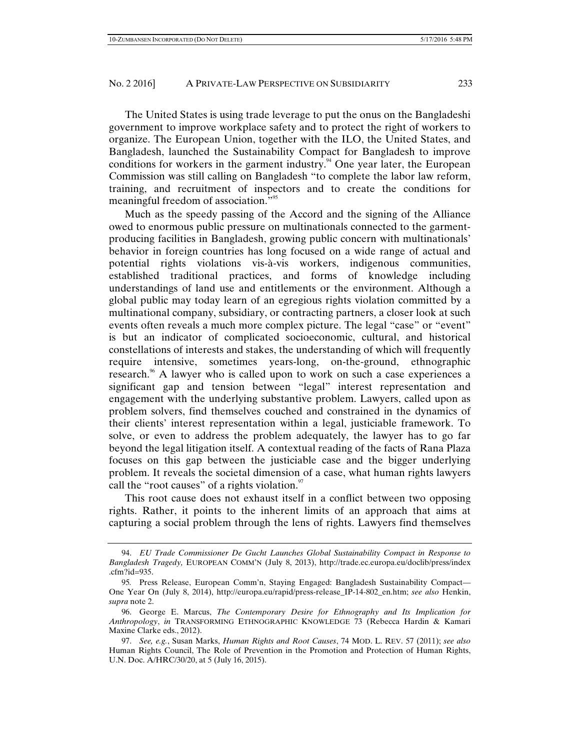The United States is using trade leverage to put the onus on the Bangladeshi government to improve workplace safety and to protect the right of workers to organize. The European Union, together with the ILO, the United States, and Bangladesh, launched the Sustainability Compact for Bangladesh to improve conditions for workers in the garment industry.<sup>94</sup> One year later, the European Commission was still calling on Bangladesh "to complete the labor law reform, training, and recruitment of inspectors and to create the conditions for meaningful freedom of association."<sup>95</sup>

Much as the speedy passing of the Accord and the signing of the Alliance owed to enormous public pressure on multinationals connected to the garmentproducing facilities in Bangladesh, growing public concern with multinationals' behavior in foreign countries has long focused on a wide range of actual and potential rights violations vis-à-vis workers, indigenous communities, established traditional practices, and forms of knowledge including understandings of land use and entitlements or the environment. Although a global public may today learn of an egregious rights violation committed by a multinational company, subsidiary, or contracting partners, a closer look at such events often reveals a much more complex picture. The legal "case" or "event" is but an indicator of complicated socioeconomic, cultural, and historical constellations of interests and stakes, the understanding of which will frequently require intensive, sometimes years-long, on-the-ground, ethnographic research.<sup>96</sup> A lawyer who is called upon to work on such a case experiences a significant gap and tension between "legal" interest representation and engagement with the underlying substantive problem. Lawyers, called upon as problem solvers, find themselves couched and constrained in the dynamics of their clients' interest representation within a legal, justiciable framework. To solve, or even to address the problem adequately, the lawyer has to go far beyond the legal litigation itself. A contextual reading of the facts of Rana Plaza focuses on this gap between the justiciable case and the bigger underlying problem. It reveals the societal dimension of a case, what human rights lawyers call the "root causes" of a rights violation. $97$ 

This root cause does not exhaust itself in a conflict between two opposing rights. Rather, it points to the inherent limits of an approach that aims at capturing a social problem through the lens of rights. Lawyers find themselves

 <sup>94.</sup> *EU Trade Commissioner De Gucht Launches Global Sustainability Compact in Response to Bangladesh Tragedy,* EUROPEAN COMM'N (July 8, 2013), http://trade.ec.europa.eu/doclib/press/index .cfm?id=935.

<sup>95</sup>*.* Press Release, European Comm'n, Staying Engaged: Bangladesh Sustainability Compact— One Year On (July 8, 2014), http://europa.eu/rapid/press-release\_IP-14-802\_en.htm; *see also* Henkin, *supra* note 2.

 <sup>96.</sup> George E. Marcus, *The Contemporary Desire for Ethnography and Its Implication for Anthropology*, *in* TRANSFORMING ETHNOGRAPHIC KNOWLEDGE 73 (Rebecca Hardin & Kamari Maxine Clarke eds., 2012).

 <sup>97.</sup> *See, e.g.*, Susan Marks, *Human Rights and Root Causes*, 74 MOD. L. REV. 57 (2011); *see also*  Human Rights Council, The Role of Prevention in the Promotion and Protection of Human Rights, U.N. Doc. A/HRC/30/20, at 5 (July 16, 2015).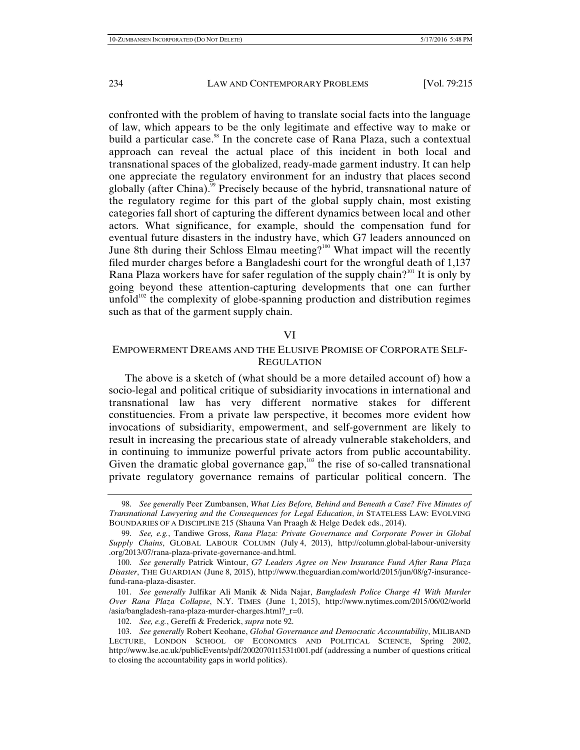confronted with the problem of having to translate social facts into the language of law, which appears to be the only legitimate and effective way to make or build a particular case.<sup>98</sup> In the concrete case of Rana Plaza, such a contextual approach can reveal the actual place of this incident in both local and transnational spaces of the globalized, ready-made garment industry. It can help one appreciate the regulatory environment for an industry that places second globally (after China).<sup>99</sup> Precisely because of the hybrid, transnational nature of the regulatory regime for this part of the global supply chain, most existing categories fall short of capturing the different dynamics between local and other actors. What significance, for example, should the compensation fund for eventual future disasters in the industry have, which G7 leaders announced on June 8th during their Schloss Elmau meeting?<sup>100</sup> What impact will the recently filed murder charges before a Bangladeshi court for the wrongful death of 1,137 Rana Plaza workers have for safer regulation of the supply chain?<sup>101</sup> It is only by going beyond these attention-capturing developments that one can further unfold $102$  the complexity of globe-spanning production and distribution regimes such as that of the garment supply chain.

## VI

# EMPOWERMENT DREAMS AND THE ELUSIVE PROMISE OF CORPORATE SELF-**REGULATION**

The above is a sketch of (what should be a more detailed account of) how a socio-legal and political critique of subsidiarity invocations in international and transnational law has very different normative stakes for different constituencies. From a private law perspective, it becomes more evident how invocations of subsidiarity, empowerment, and self-government are likely to result in increasing the precarious state of already vulnerable stakeholders, and in continuing to immunize powerful private actors from public accountability. Given the dramatic global governance gap, $103$  the rise of so-called transnational private regulatory governance remains of particular political concern. The

 <sup>98.</sup> *See generally* Peer Zumbansen, *What Lies Before, Behind and Beneath a Case? Five Minutes of Transnational Lawyering and the Consequences for Legal Education*, *in* STATELESS LAW: EVOLVING BOUNDARIES OF A DISCIPLINE 215 (Shauna Van Praagh & Helge Dedek eds., 2014).

 <sup>99.</sup> *See, e.g.*, Tandiwe Gross, *Rana Plaza: Private Governance and Corporate Power in Global Supply Chains*, GLOBAL LABOUR COLUMN (July 4, 2013), http://column.global-labour-university .org/2013/07/rana-plaza-private-governance-and.html.

 <sup>100.</sup> *See generally* Patrick Wintour, *G7 Leaders Agree on New Insurance Fund After Rana Plaza Disaster*, THE GUARDIAN (June 8, 2015), http://www.theguardian.com/world/2015/jun/08/g7-insurancefund-rana-plaza-disaster.

 <sup>101.</sup> *See generally* Julfikar Ali Manik & Nida Najar, *Bangladesh Police Charge 41 With Murder Over Rana Plaza Collapse*, N.Y. TIMES (June 1, 2015), http://www.nytimes.com/2015/06/02/world /asia/bangladesh-rana-plaza-murder-charges.html?\_r=0.

 <sup>102.</sup> *See, e.g.*, Gereffi & Frederick, *supra* note 92.

 <sup>103.</sup> *See generally* Robert Keohane, *Global Governance and Democratic Accountability*, MILIBAND LECTURE, LONDON SCHOOL OF ECONOMICS AND POLITICAL SCIENCE, Spring 2002, http://www.lse.ac.uk/publicEvents/pdf/20020701t1531t001.pdf (addressing a number of questions critical to closing the accountability gaps in world politics).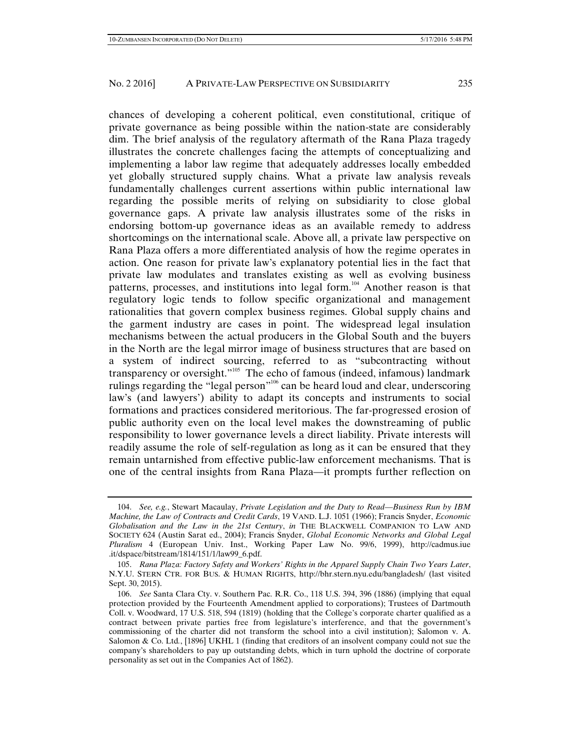chances of developing a coherent political, even constitutional, critique of private governance as being possible within the nation-state are considerably dim. The brief analysis of the regulatory aftermath of the Rana Plaza tragedy illustrates the concrete challenges facing the attempts of conceptualizing and implementing a labor law regime that adequately addresses locally embedded yet globally structured supply chains. What a private law analysis reveals fundamentally challenges current assertions within public international law regarding the possible merits of relying on subsidiarity to close global governance gaps. A private law analysis illustrates some of the risks in endorsing bottom-up governance ideas as an available remedy to address shortcomings on the international scale. Above all, a private law perspective on Rana Plaza offers a more differentiated analysis of how the regime operates in action. One reason for private law's explanatory potential lies in the fact that private law modulates and translates existing as well as evolving business patterns, processes, and institutions into legal form.104 Another reason is that regulatory logic tends to follow specific organizational and management rationalities that govern complex business regimes. Global supply chains and the garment industry are cases in point. The widespread legal insulation mechanisms between the actual producers in the Global South and the buyers in the North are the legal mirror image of business structures that are based on a system of indirect sourcing, referred to as "subcontracting without transparency or oversight."<sup>105</sup> The echo of famous (indeed, infamous) landmark rulings regarding the "legal person"<sup>106</sup> can be heard loud and clear, underscoring law's (and lawyers') ability to adapt its concepts and instruments to social formations and practices considered meritorious. The far-progressed erosion of public authority even on the local level makes the downstreaming of public responsibility to lower governance levels a direct liability. Private interests will

readily assume the role of self-regulation as long as it can be ensured that they remain untarnished from effective public-law enforcement mechanisms. That is one of the central insights from Rana Plaza—it prompts further reflection on

 <sup>104.</sup> *See, e.g.*, Stewart Macaulay, *Private Legislation and the Duty to Read*—*Business Run by IBM Machine, the Law of Contracts and Credit Cards*, 19 VAND. L.J. 1051 (1966); Francis Snyder, *Economic Globalisation and the Law in the 21st Century*, *in* THE BLACKWELL COMPANION TO LAW AND SOCIETY 624 (Austin Sarat ed., 2004); Francis Snyder, *Global Economic Networks and Global Legal Pluralism* 4 (European Univ. Inst., Working Paper Law No. 99/6, 1999), http://cadmus.iue .it/dspace/bitstream/1814/151/1/law99\_6.pdf.

 <sup>105.</sup> *Rana Plaza: Factory Safety and Workers' Rights in the Apparel Supply Chain Two Years Later*, N.Y.U. STERN CTR. FOR BUS. & HUMAN RIGHTS, http://bhr.stern.nyu.edu/bangladesh/ (last visited Sept. 30, 2015).

 <sup>106.</sup> *See* Santa Clara Cty. v. Southern Pac. R.R. Co., 118 U.S. 394, 396 (1886) (implying that equal protection provided by the Fourteenth Amendment applied to corporations); Trustees of Dartmouth Coll. v. Woodward, 17 U.S. 518, 594 (1819) (holding that the College's corporate charter qualified as a contract between private parties free from legislature's interference, and that the government's commissioning of the charter did not transform the school into a civil institution); Salomon v. A. Salomon & Co. Ltd*.*, [1896] UKHL 1 (finding that creditors of an insolvent company could not sue the company's shareholders to pay up outstanding debts, which in turn uphold the doctrine of corporate personality as set out in the Companies Act of 1862).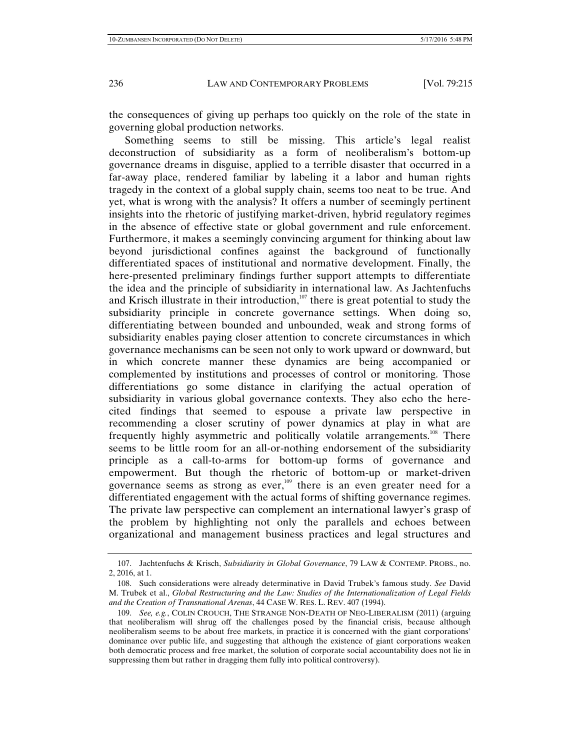the consequences of giving up perhaps too quickly on the role of the state in governing global production networks.

Something seems to still be missing. This article's legal realist deconstruction of subsidiarity as a form of neoliberalism's bottom-up governance dreams in disguise, applied to a terrible disaster that occurred in a far-away place, rendered familiar by labeling it a labor and human rights tragedy in the context of a global supply chain, seems too neat to be true. And yet, what is wrong with the analysis? It offers a number of seemingly pertinent insights into the rhetoric of justifying market-driven, hybrid regulatory regimes in the absence of effective state or global government and rule enforcement. Furthermore, it makes a seemingly convincing argument for thinking about law beyond jurisdictional confines against the background of functionally differentiated spaces of institutional and normative development. Finally, the here-presented preliminary findings further support attempts to differentiate the idea and the principle of subsidiarity in international law. As Jachtenfuchs and Krisch illustrate in their introduction, $107$  there is great potential to study the subsidiarity principle in concrete governance settings. When doing so, differentiating between bounded and unbounded, weak and strong forms of subsidiarity enables paying closer attention to concrete circumstances in which governance mechanisms can be seen not only to work upward or downward, but in which concrete manner these dynamics are being accompanied or complemented by institutions and processes of control or monitoring. Those differentiations go some distance in clarifying the actual operation of subsidiarity in various global governance contexts. They also echo the herecited findings that seemed to espouse a private law perspective in recommending a closer scrutiny of power dynamics at play in what are frequently highly asymmetric and politically volatile arrangements.<sup>108</sup> There seems to be little room for an all-or-nothing endorsement of the subsidiarity principle as a call-to-arms for bottom-up forms of governance and empowerment. But though the rhetoric of bottom-up or market-driven governance seems as strong as ever,<sup>109</sup> there is an even greater need for a differentiated engagement with the actual forms of shifting governance regimes. The private law perspective can complement an international lawyer's grasp of the problem by highlighting not only the parallels and echoes between organizational and management business practices and legal structures and

 <sup>107.</sup> Jachtenfuchs & Krisch, *Subsidiarity in Global Governance*, 79 LAW & CONTEMP. PROBS., no. 2, 2016, at 1.

 <sup>108.</sup> Such considerations were already determinative in David Trubek's famous study. *See* David M. Trubek et al., *Global Restructuring and the Law: Studies of the Internationalization of Legal Fields and the Creation of Transnational Arenas*, 44 CASE W. RES. L. REV. 407 (1994).

 <sup>109.</sup> *See, e.g.*, COLIN CROUCH, THE STRANGE NON-DEATH OF NEO-LIBERALISM (2011) (arguing that neoliberalism will shrug off the challenges posed by the financial crisis, because although neoliberalism seems to be about free markets, in practice it is concerned with the giant corporations' dominance over public life, and suggesting that although the existence of giant corporations weaken both democratic process and free market, the solution of corporate social accountability does not lie in suppressing them but rather in dragging them fully into political controversy).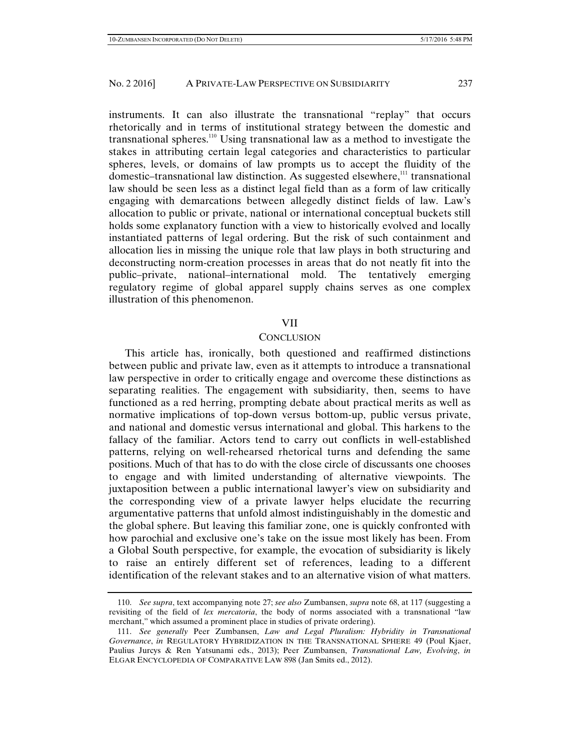instruments. It can also illustrate the transnational "replay" that occurs rhetorically and in terms of institutional strategy between the domestic and transnational spheres.<sup>110</sup> Using transnational law as a method to investigate the stakes in attributing certain legal categories and characteristics to particular spheres, levels, or domains of law prompts us to accept the fluidity of the domestic–transnational law distinction. As suggested elsewhere, $111$  transnational law should be seen less as a distinct legal field than as a form of law critically engaging with demarcations between allegedly distinct fields of law. Law's allocation to public or private, national or international conceptual buckets still holds some explanatory function with a view to historically evolved and locally instantiated patterns of legal ordering. But the risk of such containment and allocation lies in missing the unique role that law plays in both structuring and deconstructing norm-creation processes in areas that do not neatly fit into the public–private, national–international mold. The tentatively emerging regulatory regime of global apparel supply chains serves as one complex illustration of this phenomenon.

## VII

#### **CONCLUSION**

This article has, ironically, both questioned and reaffirmed distinctions between public and private law, even as it attempts to introduce a transnational law perspective in order to critically engage and overcome these distinctions as separating realities. The engagement with subsidiarity, then, seems to have functioned as a red herring, prompting debate about practical merits as well as normative implications of top-down versus bottom-up, public versus private, and national and domestic versus international and global. This harkens to the fallacy of the familiar. Actors tend to carry out conflicts in well-established patterns, relying on well-rehearsed rhetorical turns and defending the same positions. Much of that has to do with the close circle of discussants one chooses to engage and with limited understanding of alternative viewpoints. The juxtaposition between a public international lawyer's view on subsidiarity and the corresponding view of a private lawyer helps elucidate the recurring argumentative patterns that unfold almost indistinguishably in the domestic and the global sphere. But leaving this familiar zone, one is quickly confronted with how parochial and exclusive one's take on the issue most likely has been. From a Global South perspective, for example, the evocation of subsidiarity is likely to raise an entirely different set of references, leading to a different identification of the relevant stakes and to an alternative vision of what matters.

 <sup>110.</sup> *See supra*, text accompanying note 27; *see also* Zumbansen, *supra* note 68, at 117 (suggesting a revisiting of the field of *lex mercatoria*, the body of norms associated with a transnational "law merchant," which assumed a prominent place in studies of private ordering).

 <sup>111.</sup> *See generally* Peer Zumbansen, *Law and Legal Pluralism: Hybridity in Transnational Governance*, *in* REGULATORY HYBRIDIZATION IN THE TRANSNATIONAL SPHERE 49 (Poul Kjaer, Paulius Jurcys & Ren Yatsunami eds., 2013); Peer Zumbansen, *Transnational Law, Evolving*, *in* ELGAR ENCYCLOPEDIA OF COMPARATIVE LAW 898 (Jan Smits ed., 2012).